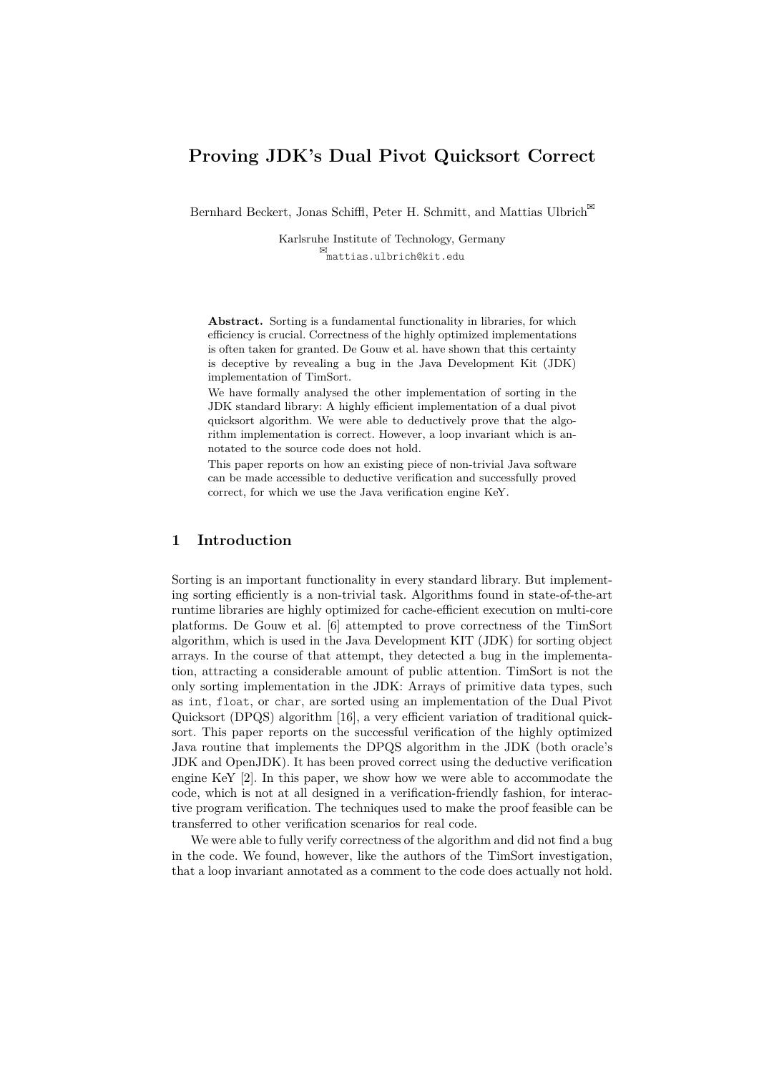# **Proving JDK's Dual Pivot Quicksort Correct**

Bernhard Beckert, Jonas Schiffl, Peter H. Schmitt, and Mattias Ulbrich<sup> $\boxtimes$ </sup>

Karlsruhe Institute of Technology, Germany mattias.ulbrich@kit.edu

**Abstract.** Sorting is a fundamental functionality in libraries, for which efficiency is crucial. Correctness of the highly optimized implementations is often taken for granted. De Gouw et al. have shown that this certainty is deceptive by revealing a bug in the Java Development Kit (JDK) implementation of TimSort.

We have formally analysed the other implementation of sorting in the JDK standard library: A highly efficient implementation of a dual pivot quicksort algorithm. We were able to deductively prove that the algorithm implementation is correct. However, a loop invariant which is annotated to the source code does not hold.

This paper reports on how an existing piece of non-trivial Java software can be made accessible to deductive verification and successfully proved correct, for which we use the Java verification engine KeY.

## **1 Introduction**

Sorting is an important functionality in every standard library. But implementing sorting efficiently is a non-trivial task. Algorithms found in state-of-the-art runtime libraries are highly optimized for cache-efficient execution on multi-core platforms. De Gouw et al. [6] attempted to prove correctness of the TimSort algorithm, which is used in the Java Development KIT (JDK) for sorting object arrays. In the course of that attempt, they detected a bug in the implementation, attracting a considerable amount of public attention. TimSort is not the only sorting implementation in the JDK: Arrays of primitive data types, such as int, float, or char, are sorted using an implementation of the Dual Pivot Quicksort (DPQS) algorithm [16], a very efficient variation of traditional quicksort. This paper reports on the successful verification of the highly optimized Java routine that implements the DPQS algorithm in the JDK (both oracle's JDK and OpenJDK). It has been proved correct using the deductive verification engine KeY [2]. In this paper, we show how we were able to accommodate the code, which is not at all designed in a verification-friendly fashion, for interactive program verification. The techniques used to make the proof feasible can be transferred to other verification scenarios for real code.

We were able to fully verify correctness of the algorithm and did not find a bug in the code. We found, however, like the authors of the TimSort investigation, that a loop invariant annotated as a comment to the code does actually not hold.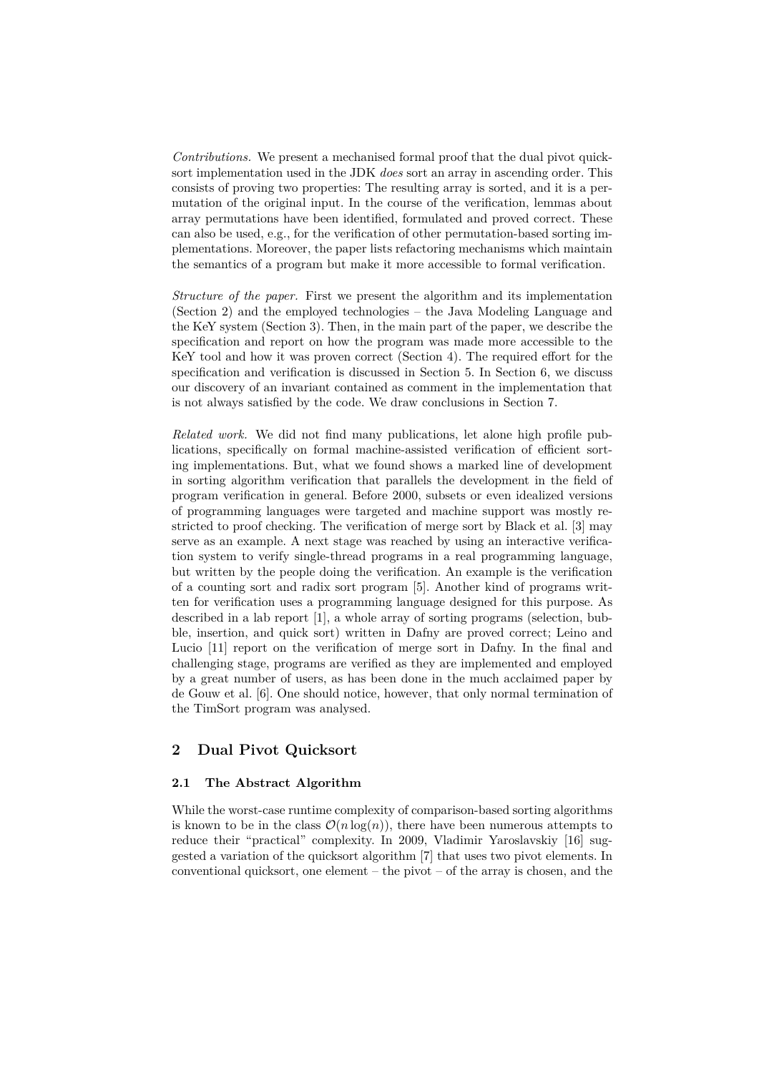*Contributions.* We present a mechanised formal proof that the dual pivot quicksort implementation used in the JDK *does* sort an array in ascending order. This consists of proving two properties: The resulting array is sorted, and it is a permutation of the original input. In the course of the verification, lemmas about array permutations have been identified, formulated and proved correct. These can also be used, e.g., for the verification of other permutation-based sorting implementations. Moreover, the paper lists refactoring mechanisms which maintain the semantics of a program but make it more accessible to formal verification.

*Structure of the paper.* First we present the algorithm and its implementation (Section 2) and the employed technologies – the Java Modeling Language and the KeY system (Section 3). Then, in the main part of the paper, we describe the specification and report on how the program was made more accessible to the KeY tool and how it was proven correct (Section 4). The required effort for the specification and verification is discussed in Section 5. In Section 6, we discuss our discovery of an invariant contained as comment in the implementation that is not always satisfied by the code. We draw conclusions in Section 7.

*Related work.* We did not find many publications, let alone high profile publications, specifically on formal machine-assisted verification of efficient sorting implementations. But, what we found shows a marked line of development in sorting algorithm verification that parallels the development in the field of program verification in general. Before 2000, subsets or even idealized versions of programming languages were targeted and machine support was mostly restricted to proof checking. The verification of merge sort by Black et al. [3] may serve as an example. A next stage was reached by using an interactive verification system to verify single-thread programs in a real programming language, but written by the people doing the verification. An example is the verification of a counting sort and radix sort program [5]. Another kind of programs written for verification uses a programming language designed for this purpose. As described in a lab report [1], a whole array of sorting programs (selection, bubble, insertion, and quick sort) written in Dafny are proved correct; Leino and Lucio [11] report on the verification of merge sort in Dafny. In the final and challenging stage, programs are verified as they are implemented and employed by a great number of users, as has been done in the much acclaimed paper by de Gouw et al. [6]. One should notice, however, that only normal termination of the TimSort program was analysed.

## **2 Dual Pivot Quicksort**

## **2.1 The Abstract Algorithm**

While the worst-case runtime complexity of comparison-based sorting algorithms is known to be in the class  $\mathcal{O}(n \log(n))$ , there have been numerous attempts to reduce their "practical" complexity. In 2009, Vladimir Yaroslavskiy [16] suggested a variation of the quicksort algorithm [7] that uses two pivot elements. In conventional quicksort, one element  $-$  the pivot  $-$  of the array is chosen, and the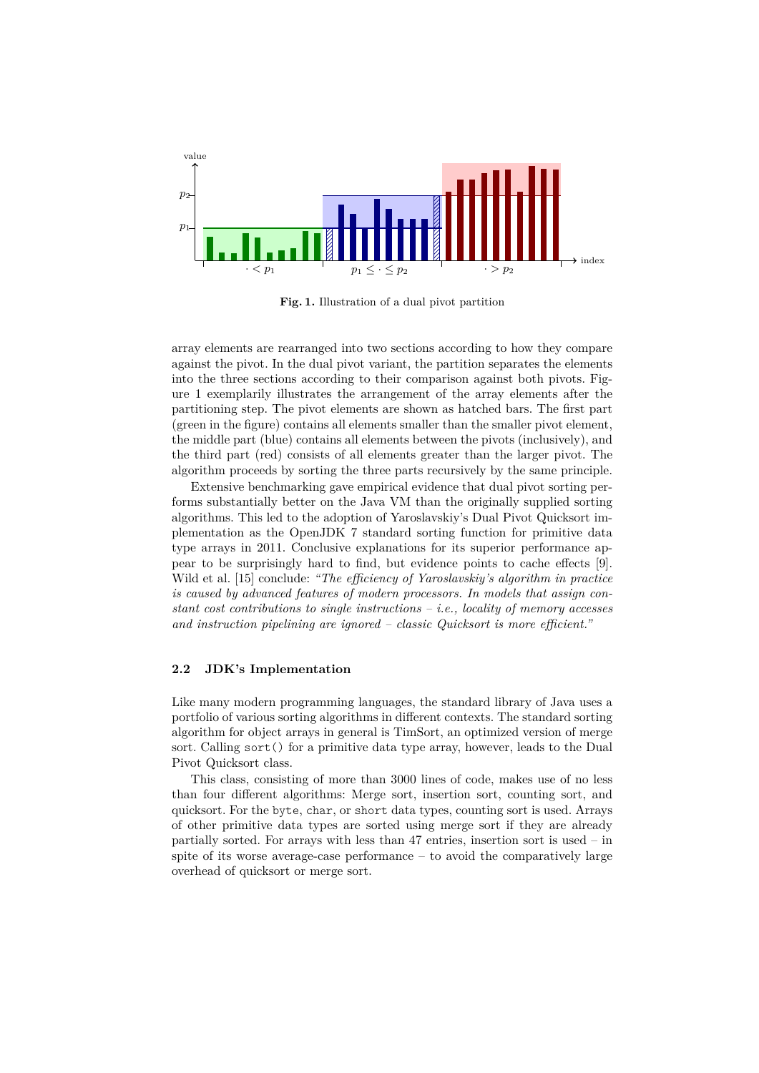

**Fig. 1.** Illustration of a dual pivot partition

array elements are rearranged into two sections according to how they compare against the pivot. In the dual pivot variant, the partition separates the elements into the three sections according to their comparison against both pivots. Figure 1 exemplarily illustrates the arrangement of the array elements after the partitioning step. The pivot elements are shown as hatched bars. The first part (green in the figure) contains all elements smaller than the smaller pivot element, the middle part (blue) contains all elements between the pivots (inclusively), and the third part (red) consists of all elements greater than the larger pivot. The algorithm proceeds by sorting the three parts recursively by the same principle.

Extensive benchmarking gave empirical evidence that dual pivot sorting performs substantially better on the Java VM than the originally supplied sorting algorithms. This led to the adoption of Yaroslavskiy's Dual Pivot Quicksort implementation as the OpenJDK 7 standard sorting function for primitive data type arrays in 2011. Conclusive explanations for its superior performance appear to be surprisingly hard to find, but evidence points to cache effects [9]. Wild et al. [15] conclude: *"The efficiency of Yaroslavskiy's algorithm in practice is caused by advanced features of modern processors. In models that assign constant cost contributions to single instructions – i.e., locality of memory accesses and instruction pipelining are ignored – classic Quicksort is more efficient."*

#### **2.2 JDK's Implementation**

Like many modern programming languages, the standard library of Java uses a portfolio of various sorting algorithms in different contexts. The standard sorting algorithm for object arrays in general is TimSort, an optimized version of merge sort. Calling sort() for a primitive data type array, however, leads to the Dual Pivot Quicksort class.

This class, consisting of more than 3000 lines of code, makes use of no less than four different algorithms: Merge sort, insertion sort, counting sort, and quicksort. For the byte, char, or short data types, counting sort is used. Arrays of other primitive data types are sorted using merge sort if they are already partially sorted. For arrays with less than 47 entries, insertion sort is used – in spite of its worse average-case performance – to avoid the comparatively large overhead of quicksort or merge sort.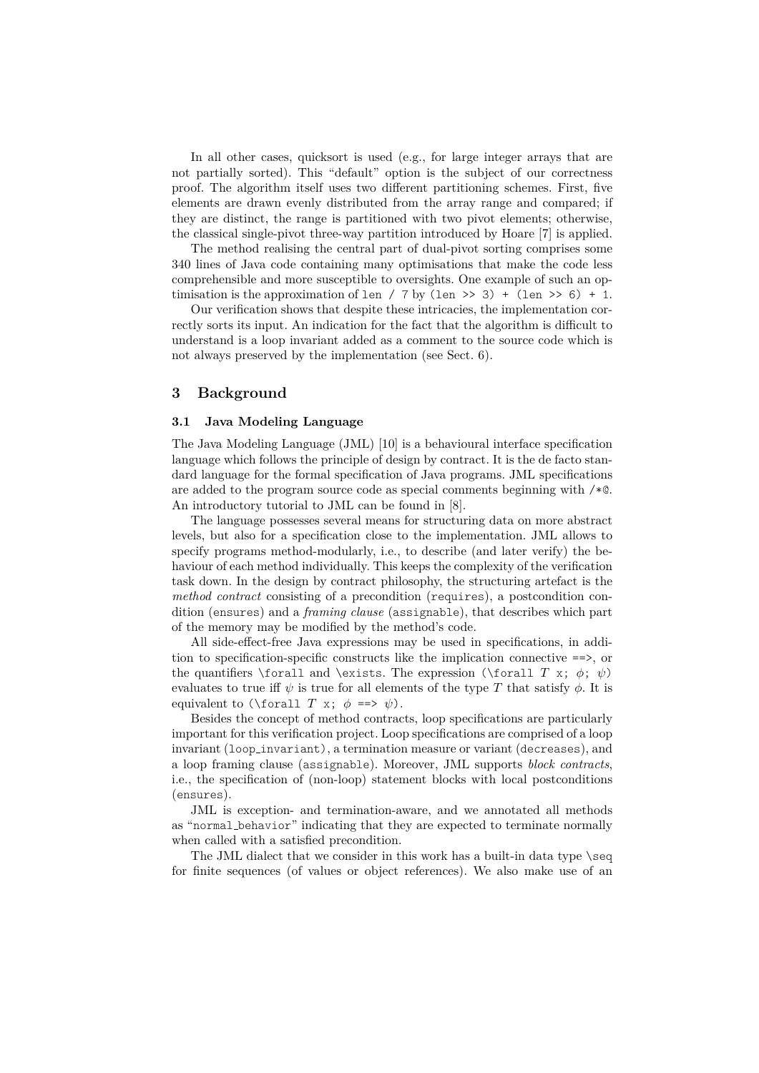In all other cases, quicksort is used (e.g., for large integer arrays that are not partially sorted). This "default" option is the subject of our correctness proof. The algorithm itself uses two different partitioning schemes. First, five elements are drawn evenly distributed from the array range and compared; if they are distinct, the range is partitioned with two pivot elements; otherwise, the classical single-pivot three-way partition introduced by Hoare [7] is applied.

The method realising the central part of dual-pivot sorting comprises some 340 lines of Java code containing many optimisations that make the code less comprehensible and more susceptible to oversights. One example of such an optimisation is the approximation of len / 7 by (len >> 3) + (len >> 6) + 1.

Our verification shows that despite these intricacies, the implementation correctly sorts its input. An indication for the fact that the algorithm is difficult to understand is a loop invariant added as a comment to the source code which is not always preserved by the implementation (see Sect. 6).

### **3 Background**

#### **3.1 Java Modeling Language**

The Java Modeling Language (JML) [10] is a behavioural interface specification language which follows the principle of design by contract. It is the de facto standard language for the formal specification of Java programs. JML specifications are added to the program source code as special comments beginning with  $/*@$ . An introductory tutorial to JML can be found in [8].

The language possesses several means for structuring data on more abstract levels, but also for a specification close to the implementation. JML allows to specify programs method-modularly, i.e., to describe (and later verify) the behaviour of each method individually. This keeps the complexity of the verification task down. In the design by contract philosophy, the structuring artefact is the *method contract* consisting of a precondition (requires), a postcondition condition (ensures) and a *framing clause* (assignable), that describes which part of the memory may be modified by the method's code.

All side-effect-free Java expressions may be used in specifications, in addition to specification-specific constructs like the implication connective ==>, or the quantifiers \forall and \exists. The expression (\forall *T* x;  $\phi$ ;  $\psi$ ) evaluates to true iff  $\psi$  is true for all elements of the type T that satisfy  $\phi$ . It is equivalent to (\forall *T* x;  $\phi \implies \psi$ ).

Besides the concept of method contracts, loop specifications are particularly important for this verification project. Loop specifications are comprised of a loop invariant (loop invariant), a termination measure or variant (decreases), and a loop framing clause (assignable). Moreover, JML supports *block contracts*, i.e., the specification of (non-loop) statement blocks with local postconditions (ensures).

JML is exception- and termination-aware, and we annotated all methods as "normal behavior" indicating that they are expected to terminate normally when called with a satisfied precondition.

The JML dialect that we consider in this work has a built-in data type \seq for finite sequences (of values or object references). We also make use of an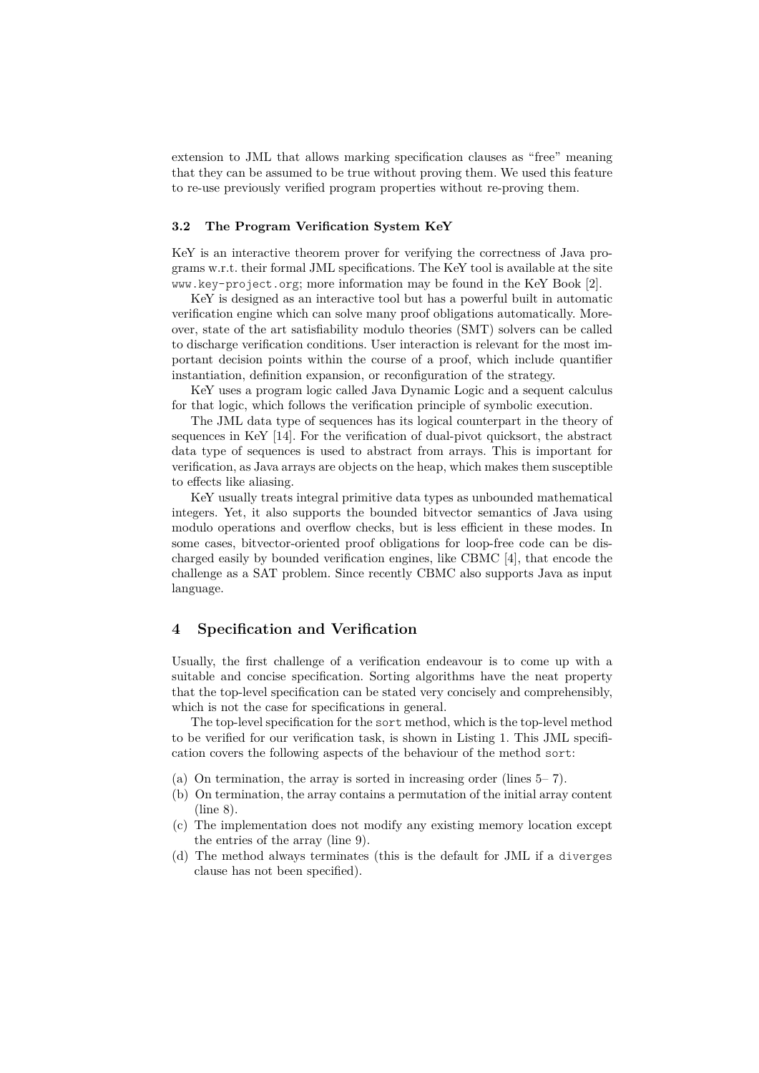extension to JML that allows marking specification clauses as "free" meaning that they can be assumed to be true without proving them. We used this feature to re-use previously verified program properties without re-proving them.

#### **3.2 The Program Verification System KeY**

KeY is an interactive theorem prover for verifying the correctness of Java programs w.r.t. their formal JML specifications. The KeY tool is available at the site www.key-project.org; more information may be found in the KeY Book [2].

KeY is designed as an interactive tool but has a powerful built in automatic verification engine which can solve many proof obligations automatically. Moreover, state of the art satisfiability modulo theories (SMT) solvers can be called to discharge verification conditions. User interaction is relevant for the most important decision points within the course of a proof, which include quantifier instantiation, definition expansion, or reconfiguration of the strategy.

KeY uses a program logic called Java Dynamic Logic and a sequent calculus for that logic, which follows the verification principle of symbolic execution.

The JML data type of sequences has its logical counterpart in the theory of sequences in KeY [14]. For the verification of dual-pivot quicksort, the abstract data type of sequences is used to abstract from arrays. This is important for verification, as Java arrays are objects on the heap, which makes them susceptible to effects like aliasing.

KeY usually treats integral primitive data types as unbounded mathematical integers. Yet, it also supports the bounded bitvector semantics of Java using modulo operations and overflow checks, but is less efficient in these modes. In some cases, bitvector-oriented proof obligations for loop-free code can be discharged easily by bounded verification engines, like CBMC [4], that encode the challenge as a SAT problem. Since recently CBMC also supports Java as input language.

### **4 Specification and Verification**

Usually, the first challenge of a verification endeavour is to come up with a suitable and concise specification. Sorting algorithms have the neat property that the top-level specification can be stated very concisely and comprehensibly, which is not the case for specifications in general.

The top-level specification for the sort method, which is the top-level method to be verified for our verification task, is shown in Listing 1. This JML specification covers the following aspects of the behaviour of the method sort:

- (a) On termination, the array is sorted in increasing order (lines 5– 7).
- (b) On termination, the array contains a permutation of the initial array content (line 8).
- (c) The implementation does not modify any existing memory location except the entries of the array (line 9).
- (d) The method always terminates (this is the default for JML if a diverges clause has not been specified).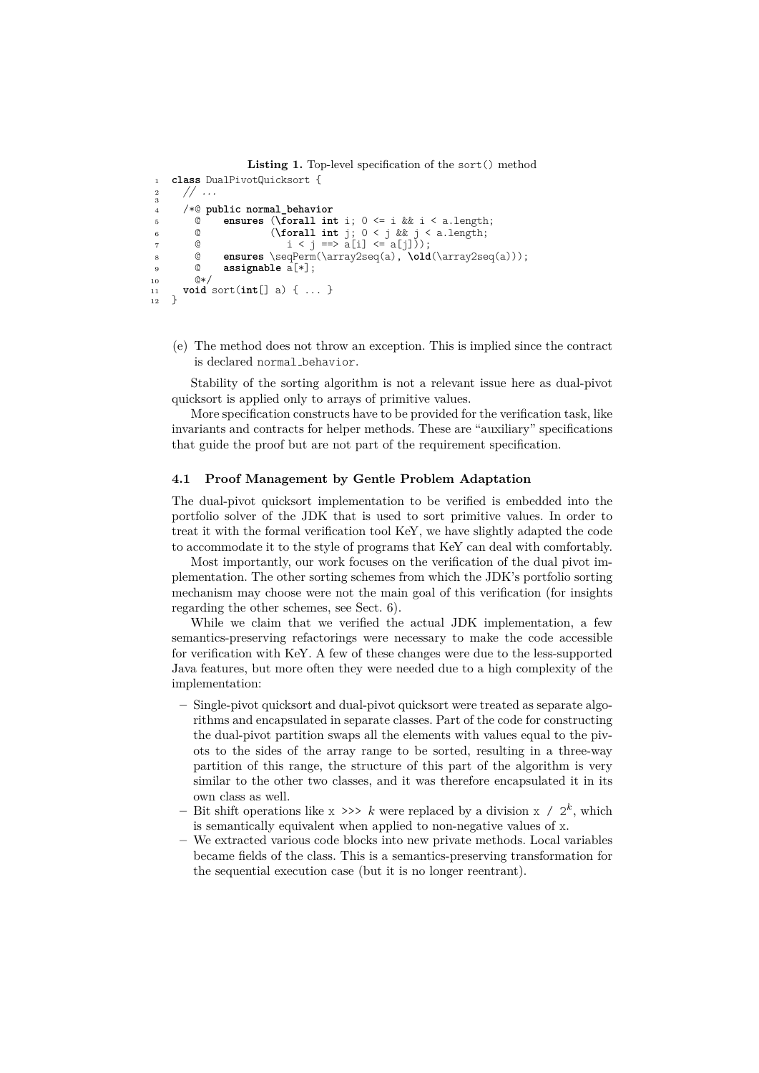```
Listing 1. Top-level specification of the sort() method
1 class DualPivotQuicksort {
2 // ...
\frac{2}{3}4 /*@ public normal_behavior
          C ensures (\forall int i; 0 \le i && i < a.length;<br>
0 \le i && i < a.length;
6 \frac{1}{7} (\forall int j; 0 < j && j < a.length;
\begin{align} 7 \qquad & \qquad 0 \qquad & \qquad i < j \implies a[i] < = a[j]\), \\ s \qquad & \qquad 0 \qquad \text{ensures } \setminus \text{seqPerm}(\text{array2seq}(a), \text{old}) \end{align}8 @ ensures \seqPerm(\array2seq(a), \old(\array2seq(a)));
9 @ assignable a[*];
10 @*11 void sort(int[] a) { ... }
12 }
```
(e) The method does not throw an exception. This is implied since the contract is declared normal\_behavior.

Stability of the sorting algorithm is not a relevant issue here as dual-pivot quicksort is applied only to arrays of primitive values.

More specification constructs have to be provided for the verification task, like invariants and contracts for helper methods. These are "auxiliary" specifications that guide the proof but are not part of the requirement specification.

## **4.1 Proof Management by Gentle Problem Adaptation**

The dual-pivot quicksort implementation to be verified is embedded into the portfolio solver of the JDK that is used to sort primitive values. In order to treat it with the formal verification tool KeY, we have slightly adapted the code to accommodate it to the style of programs that KeY can deal with comfortably.

Most importantly, our work focuses on the verification of the dual pivot implementation. The other sorting schemes from which the JDK's portfolio sorting mechanism may choose were not the main goal of this verification (for insights regarding the other schemes, see Sect. 6).

While we claim that we verified the actual JDK implementation, a few semantics-preserving refactorings were necessary to make the code accessible for verification with KeY. A few of these changes were due to the less-supported Java features, but more often they were needed due to a high complexity of the implementation:

- **–** Single-pivot quicksort and dual-pivot quicksort were treated as separate algorithms and encapsulated in separate classes. Part of the code for constructing the dual-pivot partition swaps all the elements with values equal to the pivots to the sides of the array range to be sorted, resulting in a three-way partition of this range, the structure of this part of the algorithm is very similar to the other two classes, and it was therefore encapsulated it in its own class as well.
- Bit shift operations like  $x \gg\gg k$  were replaced by a division  $x \neq 2^k$ , which is semantically equivalent when applied to non-negative values of x.
- **–** We extracted various code blocks into new private methods. Local variables became fields of the class. This is a semantics-preserving transformation for the sequential execution case (but it is no longer reentrant).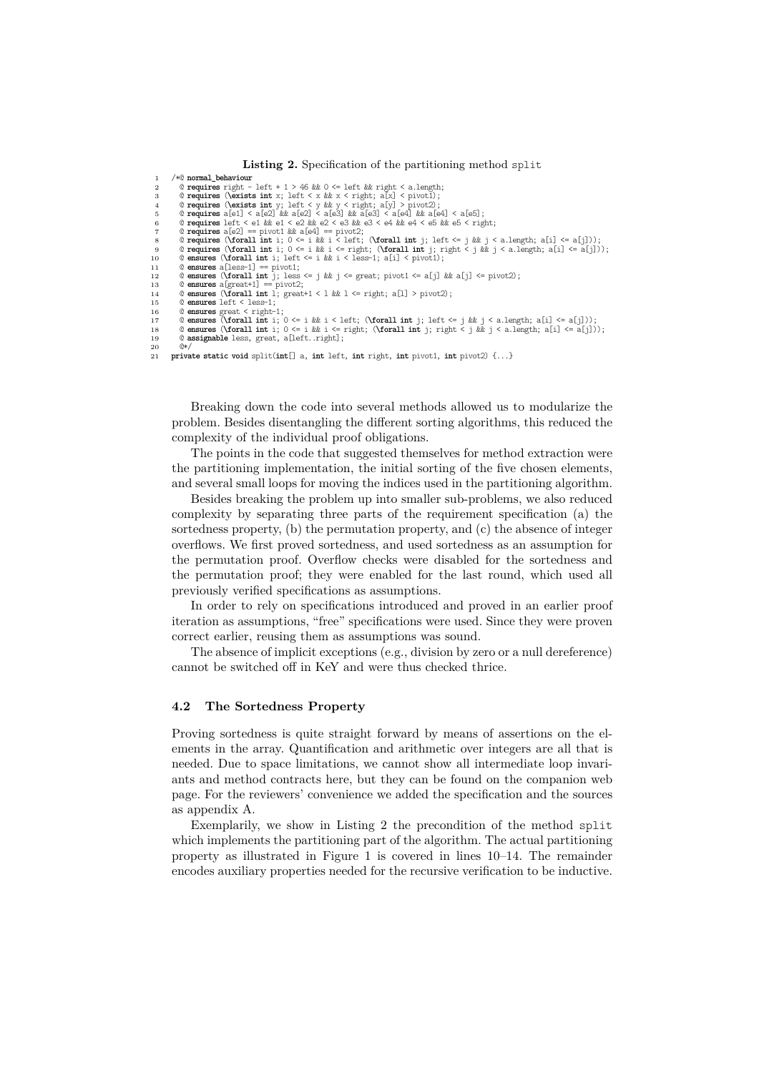```
Listing 2. Specification of the partitioning method split
 1 /*@ normal_behaviour
          2 @ requires right - left + 1 > 46 && 0 <= left && right < a.length;
 3 @ requires (\exists int x; left < x & x < right; a[x] < pivot1);<br>
@ requires (\exists int y; left < y & y < right; a[y] > pivot2);<br>
@ requires a[e1] < a[e2] & a[e2] < a[e3] & a[e4] & a[e4] < a[e5];<br>
@ requires a
 7 @ requires a[e2] == pivot1 && a[e4] == pivot2;
8 @ requires (\forall int i; 0 <= i && i < left; (\forall int j; left <= j && j < a.length; a[i] <= a[j]));
9 @ requires (\forall int i; 0 <= i && i <= right; (\forall int j; right < j && j < a.length; a[i] <= a[j]));
10 @ ensures (\forall int i; left <= i && i < less-1; a[i] < pivot1);
11 @ ensures a[less-1] == pivot1;
12 @ ensures (\forall int j; less <= j && j <= great; pivot1 <= a[j] && a[j] <= pivot2);<br>
13 @ ensures a[great+1] == pivot2;
13 @ ensures a[great+1] == pivot2;
14 @ ensures (\forall int l; great+1 < l && l <= right; a[l] > pivot2);
15 @ ensures left < less-1;
16 © ensures great < right-1;<br>17 © ensures (\forall int i; 0 <= i && i < left; (\forall int j; left <= j && j < a.length; a[i] <= a[j]));<br>18 © ensures (\forall int i; 0 <= i && i <= right; (\forall int j; right 
19 @ assignable less, great, a[left..right];
```

```
20 @*/
21 private static void split(int[] a, int left, int right, int pivot1, int pivot2) {...}
```
Breaking down the code into several methods allowed us to modularize the problem. Besides disentangling the different sorting algorithms, this reduced the complexity of the individual proof obligations.

The points in the code that suggested themselves for method extraction were the partitioning implementation, the initial sorting of the five chosen elements, and several small loops for moving the indices used in the partitioning algorithm.

Besides breaking the problem up into smaller sub-problems, we also reduced complexity by separating three parts of the requirement specification (a) the sortedness property, (b) the permutation property, and (c) the absence of integer overflows. We first proved sortedness, and used sortedness as an assumption for the permutation proof. Overflow checks were disabled for the sortedness and the permutation proof; they were enabled for the last round, which used all previously verified specifications as assumptions.

In order to rely on specifications introduced and proved in an earlier proof iteration as assumptions, "free" specifications were used. Since they were proven correct earlier, reusing them as assumptions was sound.

The absence of implicit exceptions (e.g., division by zero or a null dereference) cannot be switched off in KeY and were thus checked thrice.

#### **4.2 The Sortedness Property**

Proving sortedness is quite straight forward by means of assertions on the elements in the array. Quantification and arithmetic over integers are all that is needed. Due to space limitations, we cannot show all intermediate loop invariants and method contracts here, but they can be found on the companion web page. For the reviewers' convenience we added the specification and the sources as appendix A.

Exemplarily, we show in Listing 2 the precondition of the method split which implements the partitioning part of the algorithm. The actual partitioning property as illustrated in Figure 1 is covered in lines 10–14. The remainder encodes auxiliary properties needed for the recursive verification to be inductive.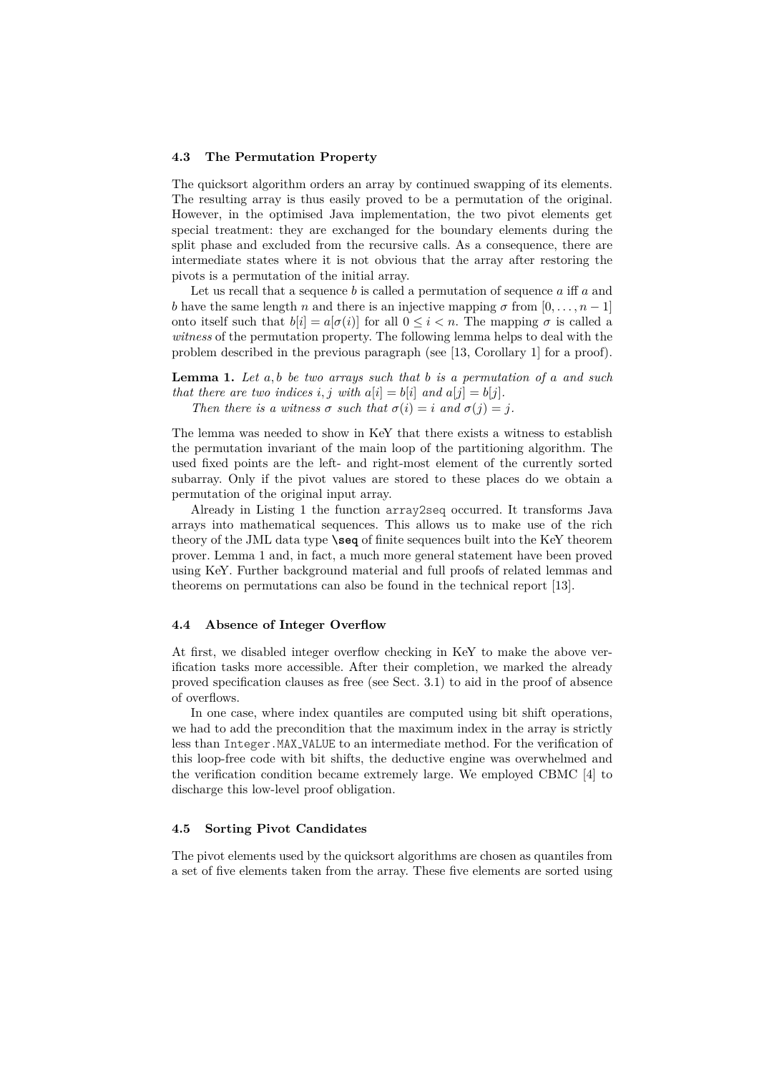#### **4.3 The Permutation Property**

The quicksort algorithm orders an array by continued swapping of its elements. The resulting array is thus easily proved to be a permutation of the original. However, in the optimised Java implementation, the two pivot elements get special treatment: they are exchanged for the boundary elements during the split phase and excluded from the recursive calls. As a consequence, there are intermediate states where it is not obvious that the array after restoring the pivots is a permutation of the initial array.

Let us recall that a sequence *b* is called a permutation of sequence *a* iff *a* and *b* have the same length *n* and there is an injective mapping  $\sigma$  from  $[0, \ldots, n-1]$ onto itself such that  $b[i] = a[\sigma(i)]$  for all  $0 \le i < n$ . The mapping *σ* is called a *witness* of the permutation property. The following lemma helps to deal with the problem described in the previous paragraph (see [13, Corollary 1] for a proof).

**Lemma 1.** *Let a, b be two arrays such that b is a permutation of a and such that there are two indices i, j with*  $a[i] = b[i]$  *and*  $a[j] = b[j]$ *. Then there is a witness*  $\sigma$  *such that*  $\sigma(i) = i$  *and*  $\sigma(j) = i$ .

The lemma was needed to show in KeY that there exists a witness to establish the permutation invariant of the main loop of the partitioning algorithm. The used fixed points are the left- and right-most element of the currently sorted subarray. Only if the pivot values are stored to these places do we obtain a permutation of the original input array.

Already in Listing 1 the function array2seq occurred. It transforms Java arrays into mathematical sequences. This allows us to make use of the rich theory of the JML data type **\seq** of finite sequences built into the KeY theorem prover. Lemma 1 and, in fact, a much more general statement have been proved using KeY. Further background material and full proofs of related lemmas and theorems on permutations can also be found in the technical report [13].

#### **4.4 Absence of Integer Overflow**

At first, we disabled integer overflow checking in KeY to make the above verification tasks more accessible. After their completion, we marked the already proved specification clauses as free (see Sect. 3.1) to aid in the proof of absence of overflows.

In one case, where index quantiles are computed using bit shift operations, we had to add the precondition that the maximum index in the array is strictly less than Integer.MAX VALUE to an intermediate method. For the verification of this loop-free code with bit shifts, the deductive engine was overwhelmed and the verification condition became extremely large. We employed CBMC [4] to discharge this low-level proof obligation.

#### **4.5 Sorting Pivot Candidates**

The pivot elements used by the quicksort algorithms are chosen as quantiles from a set of five elements taken from the array. These five elements are sorted using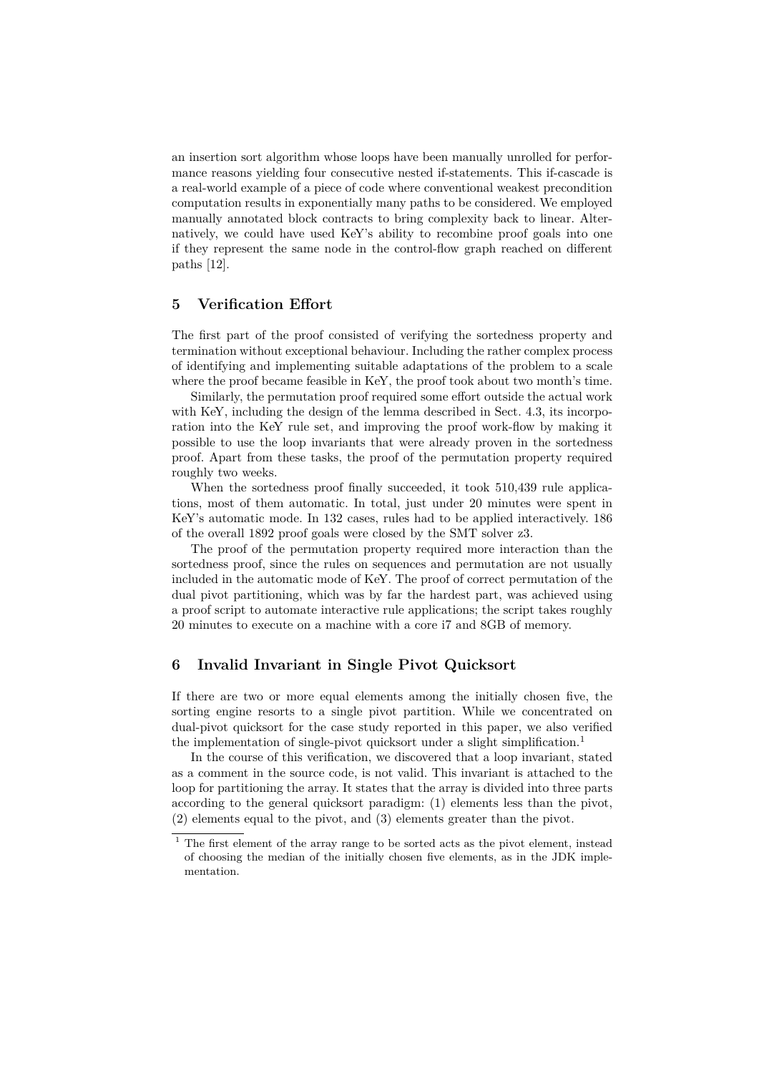an insertion sort algorithm whose loops have been manually unrolled for performance reasons yielding four consecutive nested if-statements. This if-cascade is a real-world example of a piece of code where conventional weakest precondition computation results in exponentially many paths to be considered. We employed manually annotated block contracts to bring complexity back to linear. Alternatively, we could have used KeY's ability to recombine proof goals into one if they represent the same node in the control-flow graph reached on different paths [12].

## **5 Verification Effort**

The first part of the proof consisted of verifying the sortedness property and termination without exceptional behaviour. Including the rather complex process of identifying and implementing suitable adaptations of the problem to a scale where the proof became feasible in KeY, the proof took about two month's time.

Similarly, the permutation proof required some effort outside the actual work with KeY, including the design of the lemma described in Sect. 4.3, its incorporation into the KeY rule set, and improving the proof work-flow by making it possible to use the loop invariants that were already proven in the sortedness proof. Apart from these tasks, the proof of the permutation property required roughly two weeks.

When the sortedness proof finally succeeded, it took 510,439 rule applications, most of them automatic. In total, just under 20 minutes were spent in KeY's automatic mode. In 132 cases, rules had to be applied interactively. 186 of the overall 1892 proof goals were closed by the SMT solver z3.

The proof of the permutation property required more interaction than the sortedness proof, since the rules on sequences and permutation are not usually included in the automatic mode of KeY. The proof of correct permutation of the dual pivot partitioning, which was by far the hardest part, was achieved using a proof script to automate interactive rule applications; the script takes roughly 20 minutes to execute on a machine with a core i7 and 8GB of memory.

## **6 Invalid Invariant in Single Pivot Quicksort**

If there are two or more equal elements among the initially chosen five, the sorting engine resorts to a single pivot partition. While we concentrated on dual-pivot quicksort for the case study reported in this paper, we also verified the implementation of single-pivot quicksort under a slight simplification.<sup>1</sup>

In the course of this verification, we discovered that a loop invariant, stated as a comment in the source code, is not valid. This invariant is attached to the loop for partitioning the array. It states that the array is divided into three parts according to the general quicksort paradigm: (1) elements less than the pivot, (2) elements equal to the pivot, and (3) elements greater than the pivot.

<sup>1</sup> The first element of the array range to be sorted acts as the pivot element, instead of choosing the median of the initially chosen five elements, as in the JDK implementation.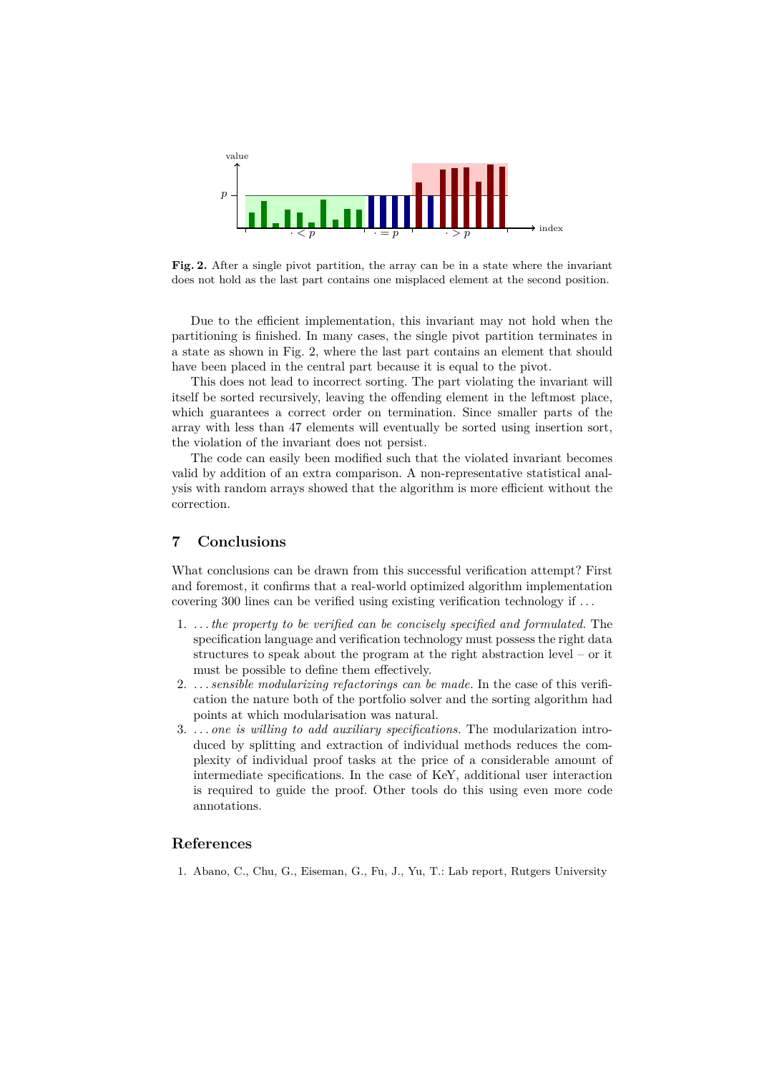

**Fig. 2.** After a single pivot partition, the array can be in a state where the invariant does not hold as the last part contains one misplaced element at the second position.

Due to the efficient implementation, this invariant may not hold when the partitioning is finished. In many cases, the single pivot partition terminates in a state as shown in Fig. 2, where the last part contains an element that should have been placed in the central part because it is equal to the pivot.

This does not lead to incorrect sorting. The part violating the invariant will itself be sorted recursively, leaving the offending element in the leftmost place, which guarantees a correct order on termination. Since smaller parts of the array with less than 47 elements will eventually be sorted using insertion sort, the violation of the invariant does not persist.

The code can easily been modified such that the violated invariant becomes valid by addition of an extra comparison. A non-representative statistical analysis with random arrays showed that the algorithm is more efficient without the correction.

## **7 Conclusions**

What conclusions can be drawn from this successful verification attempt? First and foremost, it confirms that a real-world optimized algorithm implementation covering 300 lines can be verified using existing verification technology if . . .

- 1. *. . . the property to be verified can be concisely specified and formulated.* The specification language and verification technology must possess the right data structures to speak about the program at the right abstraction level – or it must be possible to define them effectively.
- 2. *. . . sensible modularizing refactorings can be made.* In the case of this verification the nature both of the portfolio solver and the sorting algorithm had points at which modularisation was natural.
- 3. *. . . one is willing to add auxiliary specifications.* The modularization introduced by splitting and extraction of individual methods reduces the complexity of individual proof tasks at the price of a considerable amount of intermediate specifications. In the case of KeY, additional user interaction is required to guide the proof. Other tools do this using even more code annotations.

## **References**

1. Abano, C., Chu, G., Eiseman, G., Fu, J., Yu, T.: Lab report, Rutgers University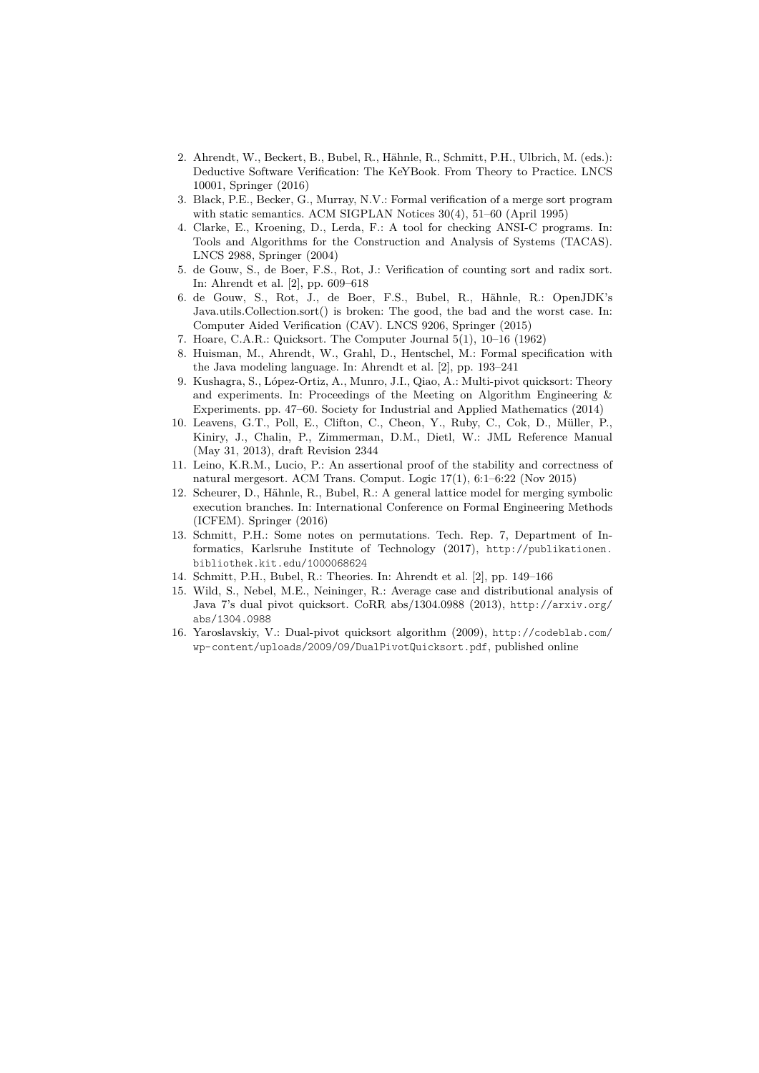- 2. Ahrendt, W., Beckert, B., Bubel, R., Hähnle, R., Schmitt, P.H., Ulbrich, M. (eds.): Deductive Software Verification: The KeYBook. From Theory to Practice. LNCS 10001, Springer (2016)
- 3. Black, P.E., Becker, G., Murray, N.V.: Formal verification of a merge sort program with static semantics. ACM SIGPLAN Notices 30(4), 51–60 (April 1995)
- 4. Clarke, E., Kroening, D., Lerda, F.: A tool for checking ANSI-C programs. In: Tools and Algorithms for the Construction and Analysis of Systems (TACAS). LNCS 2988, Springer (2004)
- 5. de Gouw, S., de Boer, F.S., Rot, J.: Verification of counting sort and radix sort. In: Ahrendt et al. [2], pp. 609–618
- 6. de Gouw, S., Rot, J., de Boer, F.S., Bubel, R., Hähnle, R.: OpenJDK's Java.utils.Collection.sort() is broken: The good, the bad and the worst case. In: Computer Aided Verification (CAV). LNCS 9206, Springer (2015)
- 7. Hoare, C.A.R.: Quicksort. The Computer Journal 5(1), 10–16 (1962)
- 8. Huisman, M., Ahrendt, W., Grahl, D., Hentschel, M.: Formal specification with the Java modeling language. In: Ahrendt et al. [2], pp. 193–241
- 9. Kushagra, S., López-Ortiz, A., Munro, J.I., Qiao, A.: Multi-pivot quicksort: Theory and experiments. In: Proceedings of the Meeting on Algorithm Engineering & Experiments. pp. 47–60. Society for Industrial and Applied Mathematics (2014)
- 10. Leavens, G.T., Poll, E., Clifton, C., Cheon, Y., Ruby, C., Cok, D., Müller, P., Kiniry, J., Chalin, P., Zimmerman, D.M., Dietl, W.: JML Reference Manual (May 31, 2013), draft Revision 2344
- 11. Leino, K.R.M., Lucio, P.: An assertional proof of the stability and correctness of natural mergesort. ACM Trans. Comput. Logic 17(1), 6:1–6:22 (Nov 2015)
- 12. Scheurer, D., Hähnle, R., Bubel, R.: A general lattice model for merging symbolic execution branches. In: International Conference on Formal Engineering Methods (ICFEM). Springer (2016)
- 13. Schmitt, P.H.: Some notes on permutations. Tech. Rep. 7, Department of Informatics, Karlsruhe Institute of Technology (2017), http://publikationen. bibliothek.kit.edu/1000068624
- 14. Schmitt, P.H., Bubel, R.: Theories. In: Ahrendt et al. [2], pp. 149–166
- 15. Wild, S., Nebel, M.E., Neininger, R.: Average case and distributional analysis of Java 7's dual pivot quicksort. CoRR abs/1304.0988 (2013), http://arxiv.org/ abs/1304.0988
- 16. Yaroslavskiy, V.: Dual-pivot quicksort algorithm (2009), http://codeblab.com/ wp-content/uploads/2009/09/DualPivotQuicksort.pdf, published online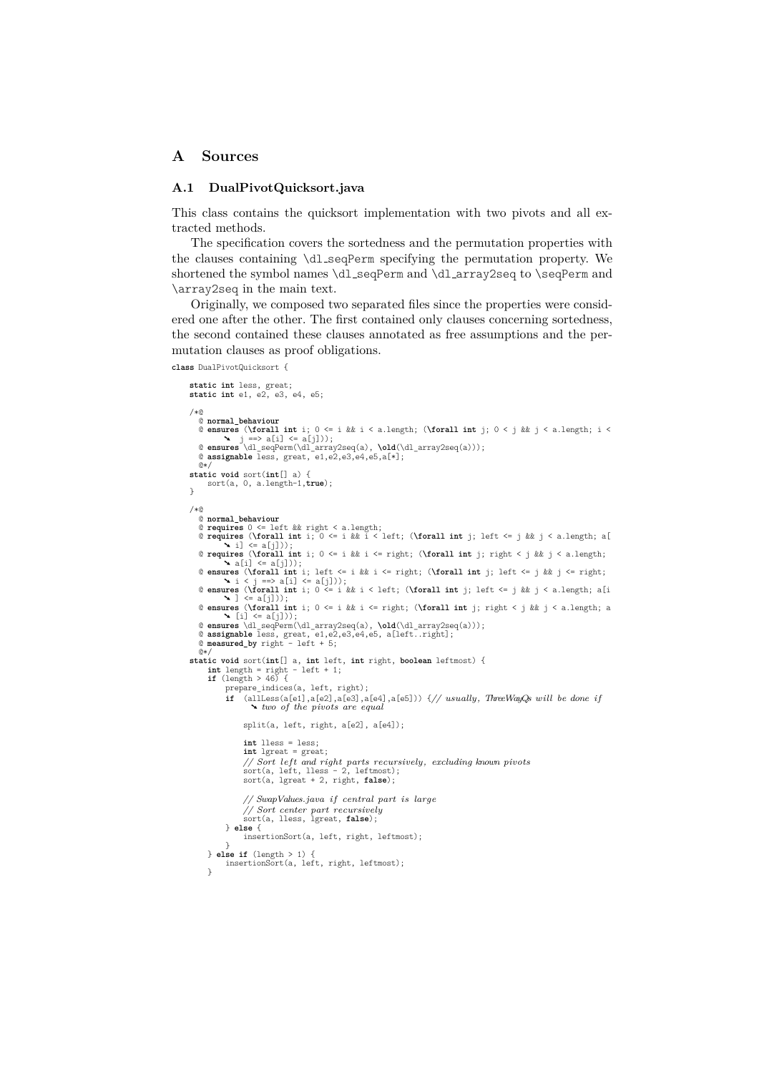## **A Sources**

#### **A.1 DualPivotQuicksort.java**

This class contains the quicksort implementation with two pivots and all extracted methods.

The specification covers the sortedness and the permutation properties with the clauses containing \dl seqPerm specifying the permutation property. We shortened the symbol names \dl\_seqPerm and \dl\_array2seq to \seqPerm and \array2seq in the main text.

Originally, we composed two separated files since the properties were considered one after the other. The first contained only clauses concerning sortedness, the second contained these clauses annotated as free assumptions and the permutation clauses as proof obligations.

**class** DualPivotQuicksort {

```
static int less, great;
static int e1, e2, e3, e4, e5;
/*@
   © normal_behaviour<br>© ensures (\forall int i; 0 <= i && i < a.length; (\forall int j; 0 < j && j < a.length; i <<br>Narsures (\forall int i; 0 < i && j < a.length; i <<br>Narsures \dl_seqPerm(\dl_array2seq(a), \old(\dl_array2seq(
  @ assignable less, great, e1,e2,e3,e4,e5,a[*];
@*/
static void sort(int[] a) {
     sort(a, 0, a.length-1,true);
\mathbf{r}/*@
  @ normal_behaviour
   @ requires 0 <= left && right < a.length;
@ requires (\forall int i; 0 <= i && i < left; (\forall int j; left <= j && j < a.length; a[
   ➘ i] <= a[j]));
@ requires (\forall int i; 0 <= i && i <= right; (\forall int j; right < j && j < a.length;
            \blacktriangleright a[i] \leq a[j]));
   © ensures (\forall int i; left <= i && i <= right; (\forall int j; left <= j && j <= right;<br>
`` i < j ==> a[i] <= a[j]));<br>
@ ensures (\forall int i; O <= i && i < left; (\forall int j; left <= j && j < a.length; 
   ➘ ] <= a[j]));
@ ensures (\forall int i; 0 <= i && i <= right; (\forall int j; right < j && j < a.length; a
➘ [i] <= a[j]));
   @ ensures \dl_seqPerm(\dl_array2seq(a), \old(\dl_array2seq(a)));
@ assignable less, great, e1,e2,e3,e4,e5, a[left..right];
@ measured_by right - left + 5;
   \overline{0}static void sort(int[] a, int left, int right, boolean leftmost) {
int length = right - left + 1;
if (length > 46) {
             prepare_indices(a, left, right);<br>
if (allLess(a[e1],a[e2],a[e3],a[e4],a[e5])) {// usually, ThreeWayQs will be done if<br>
\sim two of the pivots are equal
                  split(a, left, right, a[e2], a[e4]);
                  int lless = less;
                   int lgreat = great;
                   // Sort left and right parts recursively, excluding known pivots
sort(a, left, lless - 2, leftmost);
sort(a, lgreat + 2, right, false);
                   // SwapValues.java if central part is large
                   // Sort center part recursively
sort(a, lless, lgreat, false);
            } else {
                  insertionSort(a, left, right, leftmost);
      }
} else if (length > 1) {
            insertionSort(a, left, right, leftmost);
      }
```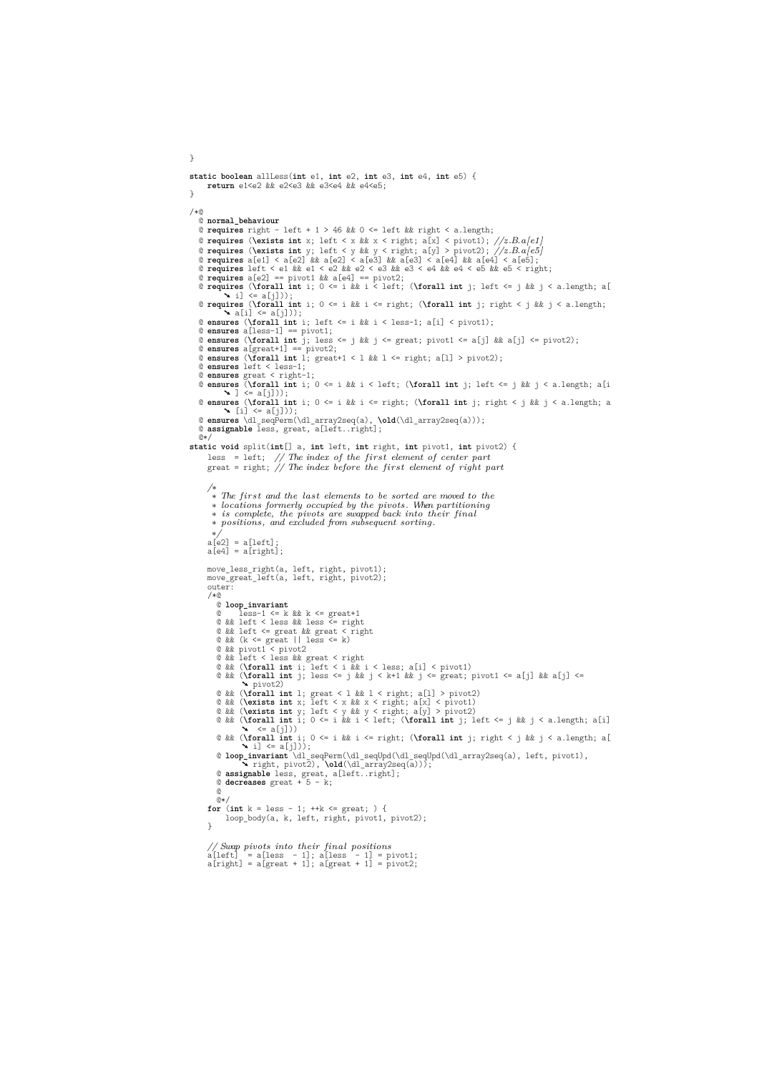```
static boolean allLess(int e1, int e2, int e3, int e4, int e5) {
return e1<e2 && e2<e3 && e3<e4 && e4<e5;
\mathbf{r}/*@
  @ normal_behaviour
  @ requires right - left + 1 > 46 && 0 <= left && right < a.length;
  @ requires (\exists int x; left < x && x < right; a[x] < pivot1); //z.B.a[e1]
   © requires (\exists int y; left < y && y < right; a[y] > pivot2); //z.B.a[e5]<br>© requires a[e1] < a[e2] && a[e2] < a[e3] && a[e3] < a[e4] && a[e4] < a[e5];<br>© requires left < e1 && e1 < e2 && e2 < e3 && e3 < e4 && e
   @ requires a[e2] == pivot1 && a[e4] == pivot2;
@ requires (\forall int i; 0 <= i && i < left; (\forall int j; left <= j && j < a.length; a[
➘ i] <= a[j]));
   @ requires (\forall int i; 0 <= i && i <= right; (\forall int j; right < j && j < a.length;
   ➘ a[i] <= a[j]));
@ ensures (\forall int i; left <= i && i < less-1; a[i] < pivot1);
   © ensures a[less-1] == pivot1;<br>© ensures (\forall int j; less <= j && j <= great; pivot1 <= a[j] && a[j] <= pivot2);<br>© ensures a[great+1] == pivot2;<br>© ensures a[great+1] == pivot2;<br>© ensures (\forall int l; great+1 < l && 
   @ ensures left < less-1;<br>@ ensures great < right-1;<br>@ ensures (\forall int i; 0 <= i && i < left; (\forall int j; left <= j && j < a.length; a[i
   ➘ ] <= a[j]));
@ ensures (\forall int i; 0 <= i && i <= right; (\forall int j; right < j && j < a.length; a
   ➘ [i] <= a[j]));
@ ensures \dl_seqPerm(\dl_array2seq(a), \old(\dl_array2seq(a)));
   @ assignable less, great, a[left..right];
   @*/
static void split(int[] a, int left, int right, int pivot1, int pivot2) {
       less = left; // The index of the first element of center part
       great = right; // The index before the first element of right part
       /∗
∗ The first and the last elements to be sorted are moved to the
        ∗ locations formerly occupied by the pivots. When partitioning
∗ is complete, the pivots are swapped back into their final
∗ positions, and excluded from subsequent sorting.
       ∗/
a[e2] = a[left];
a[e4] = a[right];
       move_less_right(a, left, right, pivot1);
move_great_left(a, left, right, pivot2);
outer:
      /*@
          @ loop_invariant
@ less-1 <= k && k <= great+1
@ && left < less && less <= right
          @ && left <= great && great < right
@ && (k <= great || less <= k)
         @ && pivot1 < pivot2
          @ && left < less && great < right
@ && (\forall int i; left < i && i < less; a[i] < pivot1)
@ && (\forall int j; less <= j && j < k+1 && j <= great; pivot1 <= a[j] && a[j] <=
➘ pivot2)
          © && (\forall int 1; great < 1 && 1 < right; a[1] > pivot2)<br>© && (\exists int x; left < x && x < right; a[x] < pivot1)<br>© && (\exists int y; left < y && y < right; a[y] > pivot2)<br>© && (\forall int i; 0 <= i && 
          ➘ <= a[j]))
@ && (\forall int i; 0 <= i && i <= right; (\forall int j; right < j && j < a.length; a[
                   \left\{ \times i \right\} \leq a[j]);
          @ loop_invariant \dl_seqPerm(\dl_seqUpd(\dl_seqUpd(\dl_array2seq(a), left, pivot1),
➘ right, pivot2), \old(\dl_array2seq(a)));
@ assignable less, great, a[left..right];
@ decreases great + 5 - k;
         @
         @*for (int k = less - 1; ++k <= great; ) {
loop_body(a, k, left, right, pivot1, pivot2);
      \mathbf{r}// Swap pivots into their final positions
a[left] = a[less - 1]; a[less - 1] = pivot1;
a[right] = a[great + 1]; a[great + 1] = pivot2;
```
}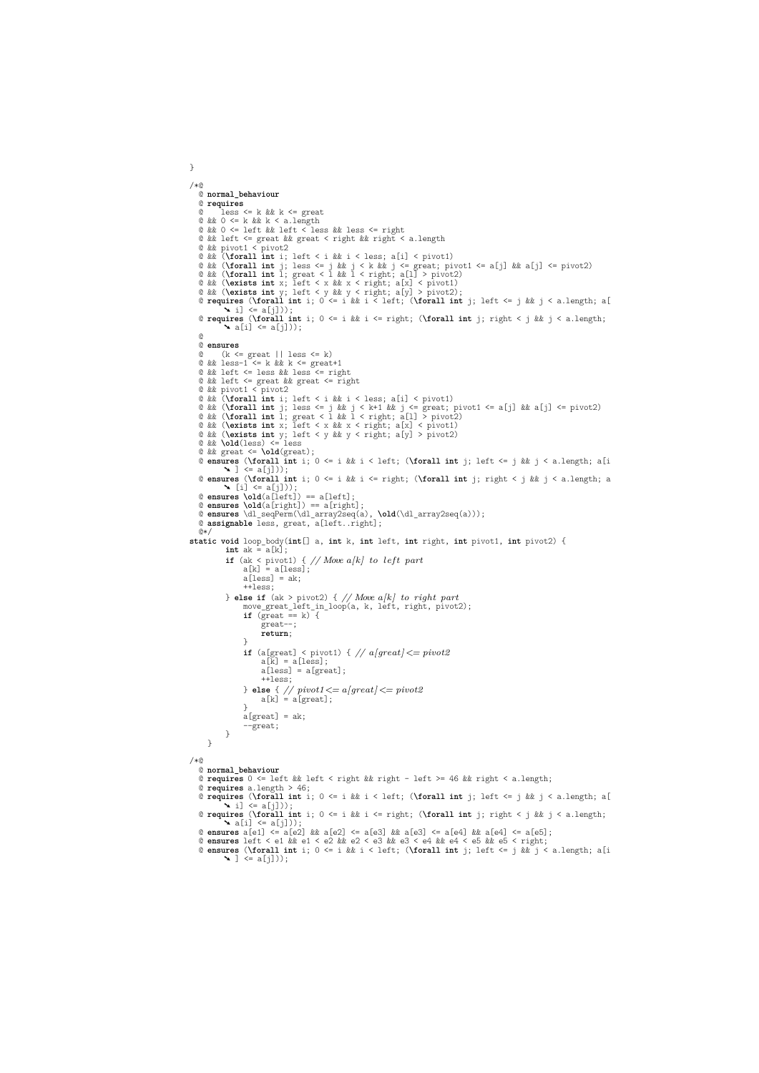```
/*@
@ normal_behaviour
   @ requires
             @ less <= k && k <= great
    @ && 0 <= k && k < a.length
@ && 0 <= left && left < less && less <= right
    @ && left <= great && great < right && right < a.length
@ && pivot1 < pivot2
@ && (\forall int i; left < i && i < less; a[i] < pivot1)
    @ && (\forall int j; less <= j && j < k && j <= great; pivot1 <= a[j] && a[j] <= pivot2)
@ && (\forall int l; great < l && l < right; a[l] > pivot2)
@ && (\exists int x; left < x && x < right; a[x] < pivot1)
@ && (\exists int y; left < y && y < right; a[y] > pivot2);
@ requires (\forall int i; 0 <= i && i < left; (\forall int j; left <= j && j < a.length; a[
➘ i] <= a[j]));
@ requires (\forall int i; 0 <= i && i <= right; (\forall int j; right < j && j < a.length;
➘ a[i] <= a[j]));
@
   @ ensures
    @ (k <= great || less <= k)
@ && less-1 <= k && k <= great+1
@ && left <= less && less <= right
    © && left <= great && great <= right<br>© && pivot1 < pivot2<br>© && (\forall int i; left < i && i < less; a[i] < pivot1)<br>© && (\forall int i; less <= j && j < k+1 && j <= great; pivot1 <= a[j] && a[j] <= pivot2)<br>© && (\forall i
    © && (\exists int y; left < y && y < right; a[y] > pivot2)<br>© && \old(less) <= less<br>© && qreat <= \old(great);<br>© && great <= \old(great);<br>© ensures (\forall int i; O <= i && i < left; (\forall int j; left <= j &
              \blacktriangle ] \Leftarrow a[i]))
    @ ensures (\forall int i; 0 <= i && i <= right; (\forall int j; right < j && j < a.length; a
➘ [i] <= a[j]));
    @ ensures \old(a[left]) == a[left];
@ ensures \old(a[right]) == a[right];
@ ensures \dl_seqPerm(\dl_array2seq(a), \old(\dl_array2seq(a)));
   @ assignable less, great, a[left..right];
@*/
static void loop_body(int[] a, int k, int left, int right, int pivot1, int pivot2) {
int ak = a[k];
               if (ak < pivot1) { // Move a[k] to left part a[k] = a[less];
                      a[less] = ak;++less;
               } else if (ak > pivot2) { // Move a[k] to right part
move_great_left_in_loop(a, k, left, right, pivot2);
if (great == k) {
great--;
                             return;
                      \overline{ }if (a[great] < pivot1) { // a[great] <= pivot2
a[k] = a[less];
                             a[less] = a[great];
                               ++less;
                       } else { // pivot1<= a[great] <= pivot2
a[k] = a[great];
                       }
a[great] = ak;
                        --great;
             }
       }
/*@
   @ normal_behaviour
    @ requires 0 <= left && left < right && right - left >= 46 && right < a.length;
@ requires a.length > 46;
    @ requires (\forall int i; 0 <= i && i < left; (\forall int j; left <= j && j < a.length; a[
➘ i] <= a[j]));
   @ requires (\forall int i; 0 <= i && i <= right; (\forall int j; right < j && j < a.length;
```
}

```
\mathbf{A} a[i] \langle = a[j]));<br>
@ ensures a[e1] \langle = a[e2] && a[e2] \langle = a[e3] && a[e3] \langle = a[e4] && a[e4] \langle = a[e5];<br>
@ ensures left \langle = e1 && e1 \langle = 2 && e2 \langle = 8 && e3 \langle = e4 && e4 \langle = e5 && e5 \langle = r
```

```
@ ensures (\forall int i; 0 <= i && i < left; (\forall int j; left <= j && j < a.length; a[i
➘ ] <= a[j]));
```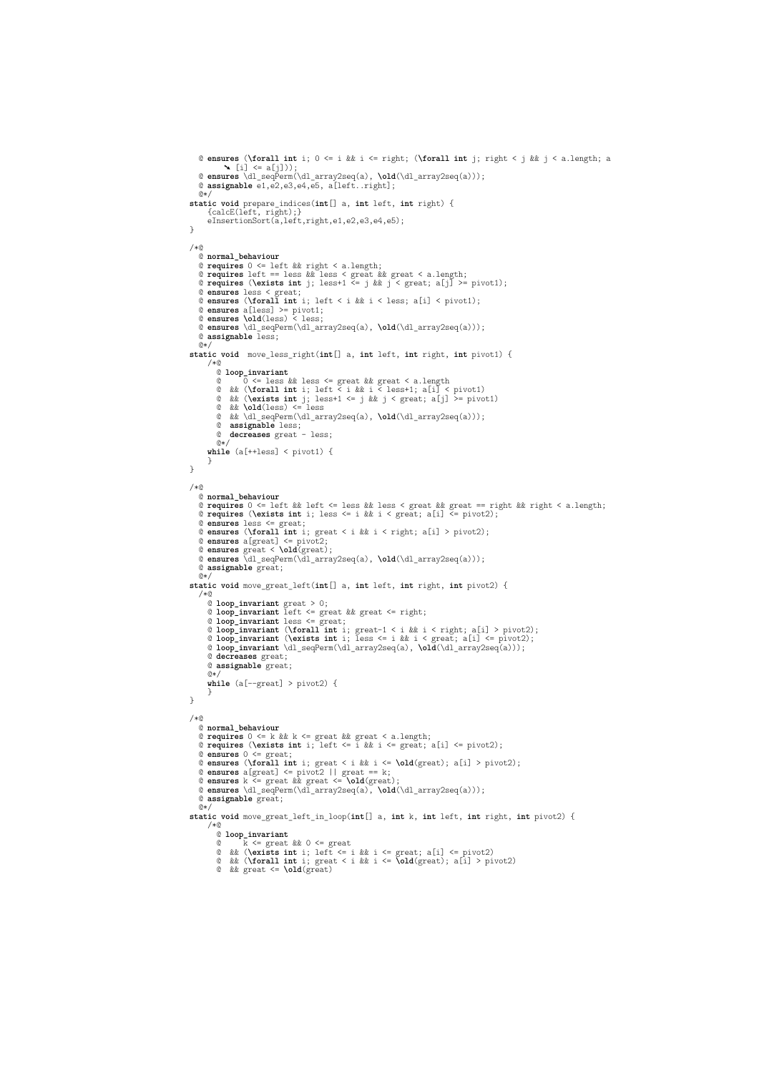```
@ ensures (\forall int i; 0 <= i && i <= right; (\forall int j; right < j && j < a.length; a
     ➘ [i] <= a[j]));
@ ensures \dl_seqPerm(\dl_array2seq(a), \old(\dl_array2seq(a)));
@ assignable e1,e2,e3,e4,e5, a[left..right];
    \theta*
static void prepare_indices(int[] a, int left, int right) {
        {calcE(left, right);}
eInsertionSort(a,left,right,e1,e2,e3,e4,e5);
}
/*@
    @ normal_behaviour
     @ requires 0 <= left && right < a.length;<br>@ requires left == less && less < great & && great; a[j] >= pivot1);<br>@ requires (\exists int j; less+1 <= j && j < great; a[j] >= pivot1);
     @ ensures less < great;
@ ensures (\forall int i; left < i && i < less; a[i] < pivot1);
     @ ensures a[less] >= pivot1;
@ ensures \old(less) < less;
@ ensures \dl_seqPerm(\dl_array2seq(a), \old(\dl_array2seq(a)));
@ assignable less;
    @*static void move_less_right(int[] a, int left, int right, int pivot1) {
       /*@@ loop_invariant
            © 0 <= less && less <= great && great < a.length<br>
© && (\forall int i; left < i && i < less+1; a[i] < pivot1)<br>
© && (\crall int i; less+1 <= j && j < great; a[j] >= pivot1)<br>
© && \old(less) <= less<br>
© && \old(less) <= less
        while (a[++less] < pivot1) {
        }
}
/*@
    @ normal_behaviour
     @ requires 0 <= left && left <= less && less < great && great == right && right < a.length;
@ requires (\exists int i; less <= i && i < great; a[i] <= pivot2);
     % ensures less <= great;<br>% ensures (\forall int i, great < i && i < right; a[i] > pivot2);<br>% ensures a[great] <= pivot2;<br>% ensures a[great] <= pivot2;<br>% ensures great < \old(great);<br>% ensures \dl_seqPerm(\dl_array2seq(a), 
    @ assignable great;
    \overset{\circ}{\circ} \aststatic void move_great_left(int[] a, int left, int right, int pivot2) {
    /*@
       @ loop_invariant great > 0;
        © loop_invariant left <= great && great <= right;<br>© loop_invariant less <= great;<br>© loop_invariant (\forall int i; great-1 < i && i < right; a[i] > pivot2);<br>© loop_invariant (\forall int i; less <= i && i < great; a[i] <= 
        @ decreases great;
@ assignable great;
        @*\text{while } (a[--great] > pivot2) {
        }
}
/*@
    @ normal_behaviour
     @ requires 0 <= k && k <= great && great < a.length;<br>@ requires (\exists int i; left <= i && i <= great; a[i] <= pivot2);<br>@ ensures 0 <= great;
     © ensures (\forall int i; great < i && i <= \old(great); a[i] > pivot2);<br>© ensures a[great] <= pivot2 || great == k;<br>© ensures k <= great && great <= \old(great);<br>© ensures k <= great && great <= \old(great);<br>© ensures \dl
    @ assignable great;
    \overline{a}static void move_great_left_in_loop(int[] a, int k, int left, int right, int pivot2) {
       /*@
           @ loop_invariant
            @ k <= great && 0 <= great
@ && (\exists int i; left <= i && i <= great; a[i] <= pivot2)
@ && (\forall int i; great < i && i <= \old(great); a[i] > pivot2)
@ && great <= \old(great)
```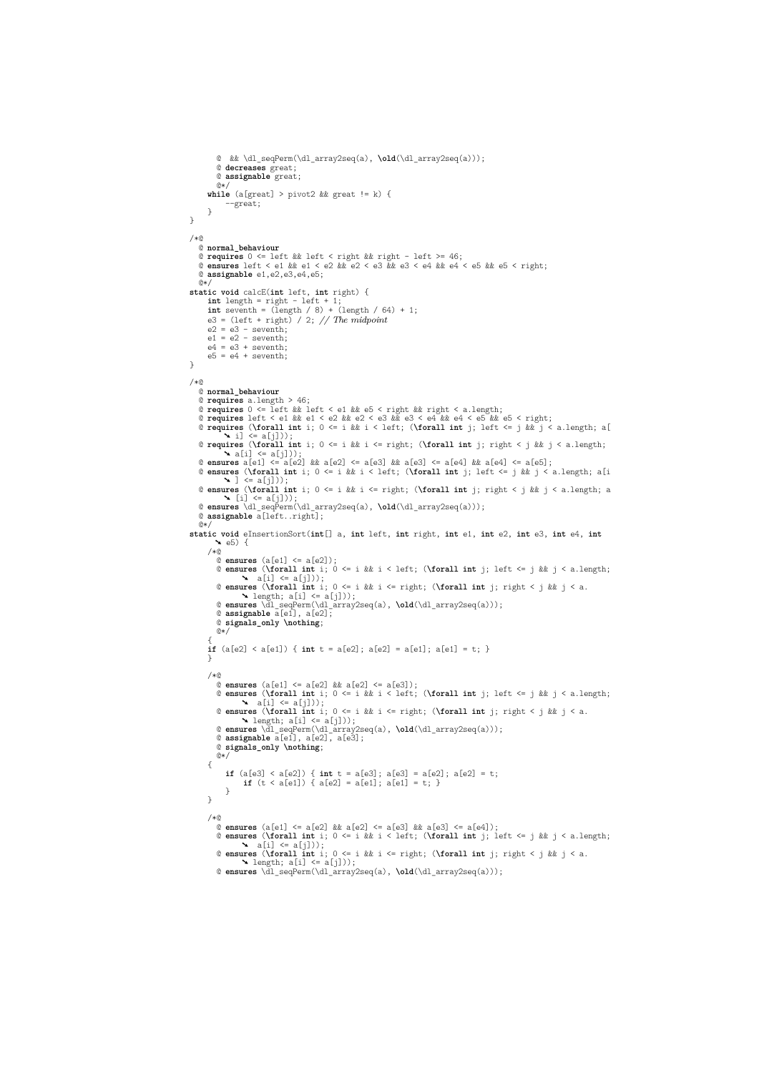```
@ && \dl_seqPerm(\dl_array2seq(a), \old(\dl_array2seq(a)));
         @ decreases great;
         @ assignable great;
      @*/
while (a[great] > pivot2 && great != k) {
             --great;
     }
}
/*@
  @ normal_behaviour
   @ requires 0 <= left && left < right && right - left >= 46;
@ ensures left < e1 && e1 < e2 && e2 < e3 && e3 < e4 && e4 < e5 && e5 < right;
  @ assignable e1,e2,e3,e4,e5;
   @*static void calcE(int left, int right) {
int length = right - left + 1;
int seventh = (length / 8) + (length / 64) + 1;
     e3 = (left + right) / 2; // The midpoint
      e2 = e3 - seventh;<br>e1 = e2 - seventh;<br>e4 = e3 + seventh;e5 = e4 + seventh}
/*@
  @ normal_behaviour
   @ requires a.length > 46;
  @ requires 0 <= left && left < e1 && e5 < right && right < a.length;
   @ requires left < e1 && e1 < e2 && e2 < e3 && e3 < e4 && e4 < e5 && e5 < right;
@ requires (\forall int i; 0 <= i && i < left; (\forall int j; left <= j && j < a.length; a[
➘ i] <= a[j]));
   @ requires (\forall int i; 0 \le i \& k \le r right; (\forall int j; right \le j \& k \le j \le a.length;<br>
@ ensures a[e1] \le a[2] \& k \le a[2] \le a[3] \& k \le a[3] \le a[a4] \& a[e4] \le a[e5];<br>
@ ensures a[e1] \le a[2] \& k \le a[e3] \& k \le a[e4] \& k \le a[e4] \le a@ ensures (\forall int i; 0 <= i && i <= right; (\forall int j; right < j && j < a.length; a
➘ [i] <= a[j]));
   @ ensures \dl_seqPerm(\dl_array2seq(a), \old(\dl_array2seq(a)));
@ assignable a[left..right];
@*/
static void eInsertionSort(int[] a, int left, int right, int e1, int e2, int e3, int e4, int
➘ e5) {
      /*@
         @ ensures (a[e1] <= a[e2]);
@ ensures (\forall int i; 0 <= i && i < left; (\forall int j; left <= j && j < a.length;
         ➘ a[i] <= a[j]));
@ ensures (\forall int i; 0 <= i && i <= right; (\forall int j; right < j && j < a.
         ➘ length; a[i] <= a[j]));
@ ensures \dl_seqPerm(\dl_array2seq(a), \old(\dl_array2seq(a)));
@ assignable a[e1], a[e2];
         @ signals_only \nothing;
        @*{
if (a[e2] < a[e1]) { int t = a[e2]; a[e2] = a[e1]; a[e1] = t; }
      }
      /*@
         @ ensures (a[e1] <= a[e2] && a[e2] <= a[e3]);<br>@ ensures (\forall int i; left <= j && j < a.length;<br>4 a[i] <= a[j]));
         @ ensures (\forall int i; 0 <= i && i <= right; (\forall int j; right < j && j < a.
         ➘ length; a[i] <= a[j]));
@ ensures \dl_seqPerm(\dl_array2seq(a), \old(\dl_array2seq(a)));
         @ assignable a[e1], a[e2], a[e3];
@ signals_only \nothing;
         @*/
      {
            if (a[e3] < a[e2]) { int t = a[e3]; a[e3] = a[e2]; a[e2] = t;<br>
if (t < a[e1]) { a[e2] = a[e1]; a[e1] = t; }
            }
     }
      /*@
         @ ensures (a[e1] <= a[e2] && a[e2] <= a[e3] && a[e3] <= a[e4]);
@ ensures (\forall int i; 0 <= i && i < left; (\forall int j; left <= j && j < a.length;
➘ a[i] <= a[j]));
         @ ensures (\forall int i; 0 <= i && i <= right; (\forall int j; right < j && j < a.
➘ length; a[i] <= a[j]));
@ ensures \dl_seqPerm(\dl_array2seq(a), \old(\dl_array2seq(a)));
```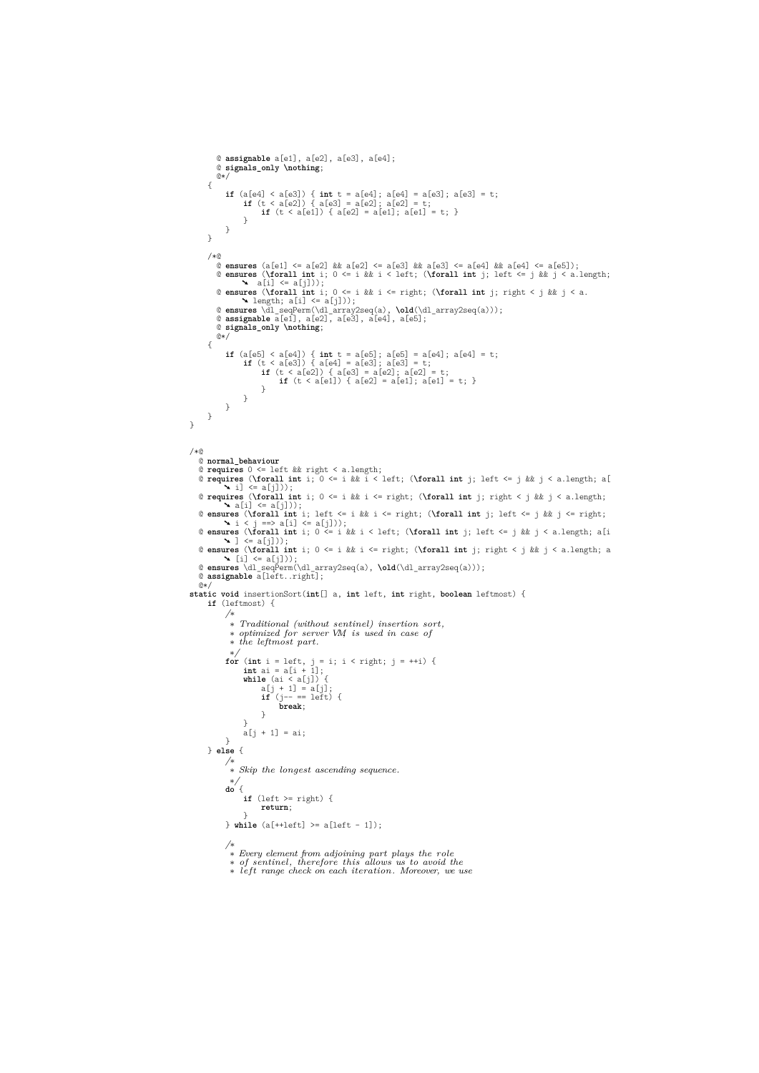```
@ assignable a[e1], a[e2], a[e3], a[e4];
          @ signals_only \nothing;
          @*/
       {
              if (a[e4] < a[e3]) { int t = a[e4]; a[e4] = a[e3]; a[e3] = t;
if (t < a[e2]) { a[e3] = a[e2]; a[e2] = t;
if (t < a[e1]) { a[e2] = a[e1]; a[e1] = t; }
                    }
             }
       }
       40^{\circ}@ ensures (a[e1] <= a[e2] && a[e2] <= a[e3] && a[e3] <= a[e4] && a[e4] <= a[e5]);<br>@ ensures (\forall int i; 0 <= i && i < left; (\forall int j; left <= j && j < a.length;<br>& ansures (\forall int i; 0 <= i && i < left; (\fo
          @ signals_only \nothing;
          @*/
       {
              if (a[e5] \le a[e4]) { int t = a[e5]; a[e5] = a[e4]; a[e4] = t;<br>
if (t \le a[e3]) { a[e4] = a[e3]; a[e3] = t;<br>
if (t \le a[e2]) { a[e3] = a[e2]; a[e2] = t;<br>
if (t \le a[e1]) { a[e3] = a[e1]; a[e1] = t;
                           }
                  \rightarrow}
     }
}
/*@
   @ normal_behaviour
    © requires 0 <= left && right < a.length;<br>@ requires (\forall int j; 0 <= i && i < left; (\forall int j; left <= j && j < a.length; a[<br>\ \ i] <= a[j]));
   @ requires (\forall int i; 0 <= i && i <= right; (\forall int j; right < j && j < a.length;
    a [i] \le a[j]);<br>
e ensures (\forall int i; left <= i && i <= right; (\forall int j; left <= j && j <= right;<br>
a ensures (\forall int i; left <= i && i < left; (\forall int j; left <= j && j < right;<br>
a ensures (\fora
   @ ensures (\forall int i; 0 <= i && i <= right; (\forall int j; right < j && j < a.length; a
    ➘ [i] <= a[j]));
@ ensures \dl_seqPerm(\dl_array2seq(a), \old(\dl_array2seq(a)));
@ assignable a[left..right];
   \mathbb{R}static void insertionSort(int[] a, int left, int right, boolean leftmost) {
       if (leftmost) {
              /∗
                ∗ Traditional (without sentinel) insertion sort,
∗ optimized for server VM, is used in case of
                ∗ the leftmost part.
              ∗/
for (int i = left, j = i; i < right; j = ++i) {
int ai = a[i + 1];
while (ai < a[j]) {
a[j + 1] = a[j];
if (j-- == left) {
break;
                          }
                    }
                    a[j + 1] = ai;}
      } else {
              /∗
∗ Skip the longest ascending sequence.
                ∗/
              do {
                    if (left >= right) {
                           return;
              }
} while (a[++left] >= a[left - 1]);
              /∗
∗ Every element from adjoining part plays the role
∗ of sentinel, therefore this allows us to avoid the
```
∗ *left range check on each iteration. Moreover, we use*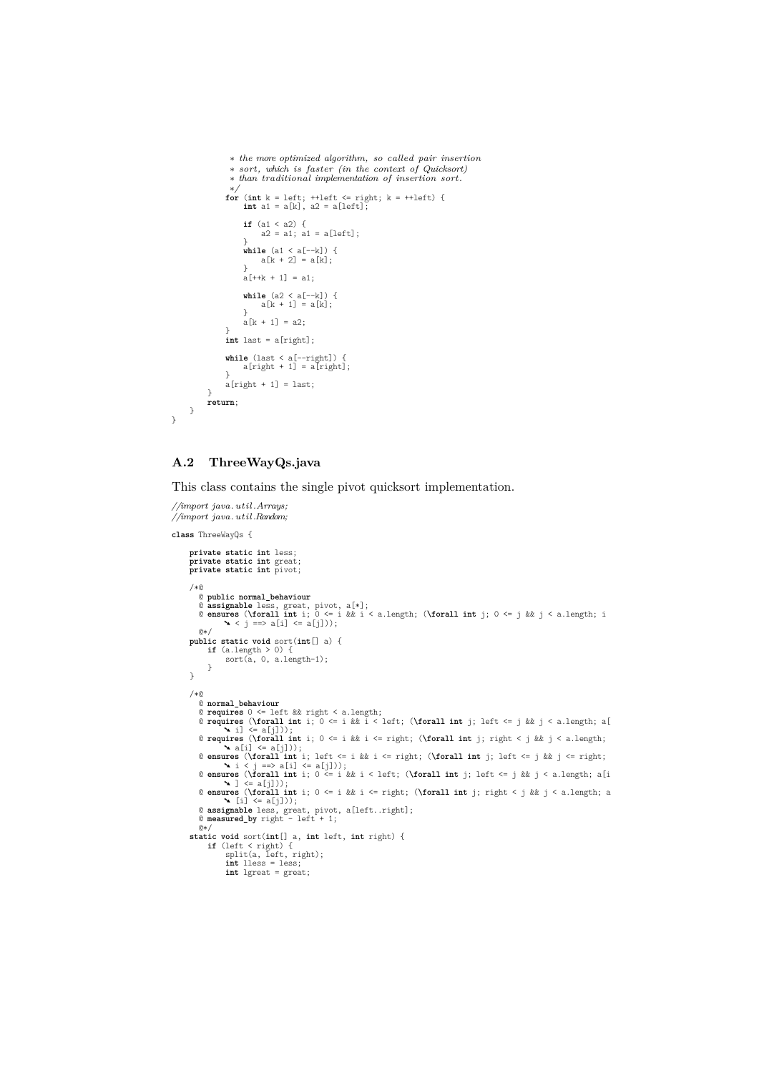```
∗ the more optimized algorithm, so called pair insertion
                 ∗ sort, which is faster (in the context of Quicksort)
                  ∗ than traditional implementation of insertion sort.
                ∗/
for (int k = left; ++left <= right; k = ++left) {
int a1 = a[k], a2 = a[left];
                      if (a1 \le a2) {<br>a2 = a1; a1 = a[\text{left}];}
while (a1 < a[--k]) {
a[k + 2] = a[k];
}
                     a[++k + 1] = a1;while (a2 < a[--k]) {
a[k + 1] = a[k];
                     }
                     a[k + 1] = a2;}
                int last = a[right];
                while (last < a[--right]) {
a[right + 1] = a[right];
                }
a[right + 1] = last;
           }
return;
     }
}
```
## **A.2 ThreeWayQs.java**

This class contains the single pivot quicksort implementation.

```
//import java. util .Arrays;
//import java. util .Random;
class ThreeWayQs {
       private static int less;
       private static int great;
       private static int pivot;
       /*@
          @ public normal_behaviour
          @ assignable less, great, pivot, a[*];
@ ensures (\forall int i; 0 <= i && i < a.length; (\forall int j; 0 <= j && j < a.length; i
➘ < j ==> a[i] <= a[j]));
          \theta*/
       public static void sort(int[] a) {
if (a.length > 0) {
sort(a, 0, a.length-1);
             }
      }
       /*@
          © normal_behaviour<br>
© requires (\forall int i; 0 <= 1 && i < left; (\forall int j; left <= j && j < a.length; a<br>
© requires (\forall int i; 0 <= i && i < left; (\forall int j; left <= j && j < a.length; a<br>
© requires (\fo
          @ assignable less, great, pivot, a[left..right];
@ measured_by right - left + 1;
          @* /static void sort(int[] a, int left, int right) {
if (left < right) {
split(a, left, right);
                     int lless = less;
int lgreat = great;
```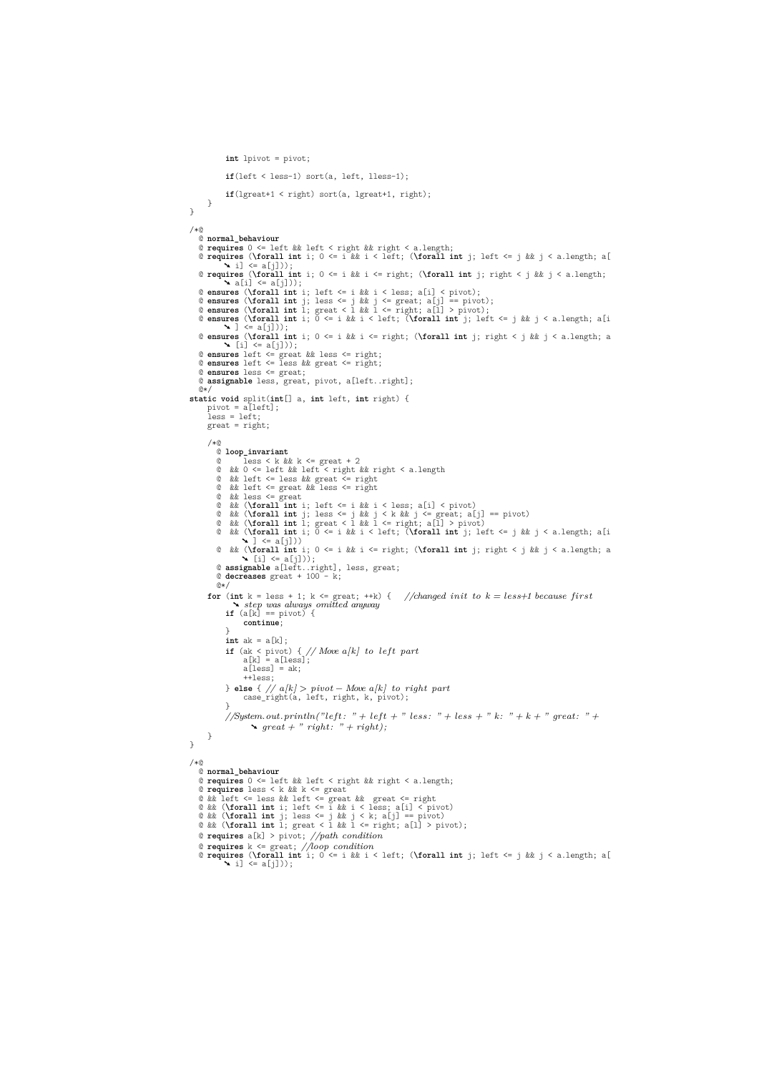**int** lpivot = pivot; **if**(left < less-1) sort(a, left, lless-1); **if**(lgreat+1 < right) sort(a, lgreat+1, right); } } /\*@ @ **normal\_behaviour** @ **requires** 0 <= left && left < right && right < a.length; @ **requires** (**\forall int** i; 0 <= i && i < left; (**\forall int** j; left <= j && j < a.length; a[  $\angle$  i]  $\leq$  a[i])) @ **requires** (**\forall int** i; 0 <= i && i <= right; (**\forall int** j; right < j && j < a.length; ➘ a[i] <= a[j])); © ensures (\forall int i; left <= i && i < less; a[i] < pivot);<br>© ensures (\forall int j; less <= j && j <= great; a[j] == pivot);<br>© ensures (\forall int l; great < l && l <= right; a[j] > pivot);<br>© ensures (\forall int i;  $\sim$  1  $\leq$  a[i])) **@ ensures (\forall int i;**  $0 \le i$  &  $i \le i$  enght; (**\forall int** j; right < j &  $j \le a$ .length; a<br>**@ ensures** left <= great & iess <= right;<br>**@ ensures** left <= great & iess <= right;<br>**@ ensures** left <= less & great <= r @ **assignable** less, great, pivot, a[left..right];  $@*$ **static void** split(**int**[] a, **int** left, **int** right) { pivot = a[left]; less = left; great = right; /\*@ @ **loop\_invariant** © less < k & k k <= great + 2<br>
© & k 0 <= left & left < right & right < a.length<br>
© & k left <= less & k great <= right<br>
© & left <= great & less <= right<br>
© & k less <= great & less <= right<br>
© & k less = great & less <= © && (**\forall int** i; 0 <= i && i <= right; (**\forall int** j; right < j && j < a.length; a<br>
© **assignable** a[i]));<br>
© **assignable** a[i]);<br>
© **decreases** great + 100 - k;<br>
© **decreases** great + 100 - k;  $@*$ **for** (**int** k = less + 1; k <= great; ++k) { //changed init to k = less+1 because first<br>  $\mathbf{X}$  step was always omitted anyway **continue**; } **int** ak = a[k]; **if** (ak < pivot) { *// Move a[k] to left part*<br>  $a[k] = a[less];$ <br>  $a[less] = ak;$  $+$ less $\cdot$ } **else** { *// a[k] > pivot* − *Move a[k] to right part* case\_right(a, left, right, k, pivot);  $\rightarrow$ *//System.out.println("left : " + left + " less : " + less + " k: " + k + " great: " +*  $\rightarrow$  great + " right: " + right); } } /\*@ @ **normal\_behaviour** © requires 0 <= left && left < right && right < a.length;<br>© requires less < k && k <= great && great <= right<br>© && left <= less && left <= great && great <= right<br>© && (\forall int i; left <= i && i <less; a[i] < pivot)<br>© @ **requires** a[k] > pivot; *//path condition* @ **requires** k <= great; *//loop condition* @ **requires** (**\forall int** i; 0 <= i && i < left; (**\forall int** j; left <= j && j < a.length; a[  $\mathbf{N}$  i]  $\leq a[j])$ ;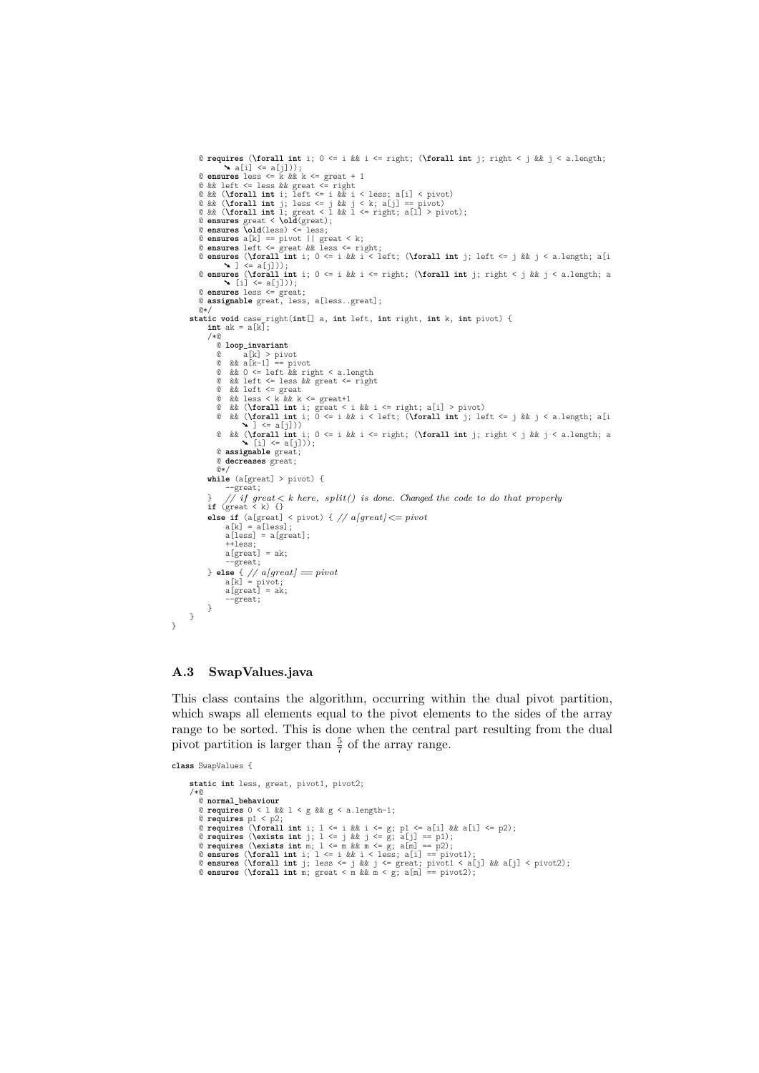```
© requires (\forall int i; 0 <= i && i <= right; (\forall int j; right < j && j < a.length;<br>
© ensures less <= k && k <= great + 1<br>
© && left <= less && great <= right<br>
© && (\forall int i; left <= less && great <= right<br>
     © ensures (\forall int i; 0 <= i && i <= right; (\forall int j; right < j && j < a.length; a<br>
© ensures less <= great;<br>
© ensures less <= great;<br>
© assignable great, less, a[less..great];
    \mathbb{R} /
 static void case_right(int[] a, int left, int right, int k, int pivot) {
int ak = a[k];
       /*@
          @ loop_invariant
            @ a[k] > pivot
@ && a[k-1] == pivot
@ && 0 <= left && right < a.length
            @ && left <= less && great <= right
@ && left <= great
@ && less < k && k <= great+1
            @ && (\forall int i; great < i && i <= right; a[i] > pivot)
@ && (\forall int i; 0 <= i && i < left; (\forall int j; left <= j && j < a.length; a[i
                         \left( \begin{array}{c} 1 & \text{if } 1 \\ 1 & \text{if } 1 \\ 0 & \text{if } 1 \end{array} \right)@ && (\forall int i; 0 <= i && i <= right; (\forall int j; right < j && j < a.length; a
➘ [i] <= a[j]));
           @ assignable great;
           @ decreases great;
           @*/
        while (a[great] > pivot) {
               --</math>} // if great < k here, split() is done. Changed the code to do that properly
if (great < k) {}
        else if (a[great] < pivot) { // a[great] <= pivot a[k] = a[less];<br>a[less] = a[great];
               ++less;
a[great] = ak;
               --great;
        } else { // a[great] = pivot;<br>
a[<b>great</b>] = a<b>k</b>;--great;
       }
}
```
#### **A.3 SwapValues.java**

This class contains the algorithm, occurring within the dual pivot partition, which swaps all elements equal to the pivot elements to the sides of the array range to be sorted. This is done when the central part resulting from the dual pivot partition is larger than  $\frac{5}{7}$  of the array range.

**class** SwapValues {

 $\mathbf{r}$ 

```
static int less, great, pivot1, pivot2;
/*@@ normal_behaviour
    @ requires 0 < 1 && 1 < g && g < a.length-1;<br>@ requires Q1 < p2;<br>@ requires (\forall int i; 1 <= i && i <= g; p1 <= a[i] && a[i] <= p2);
    © requires (\exists int j; 1 <= j && j <= g; a[j] == p1);<br>
© requires (\exists int m; 1 <= m && m <= g; a[m] == p2);<br>
© ensures (\forall int i; 1 <= i && i < less; a[i] == pivot1);<br>
© ensures (\forall int j; 1 esi & i < =
```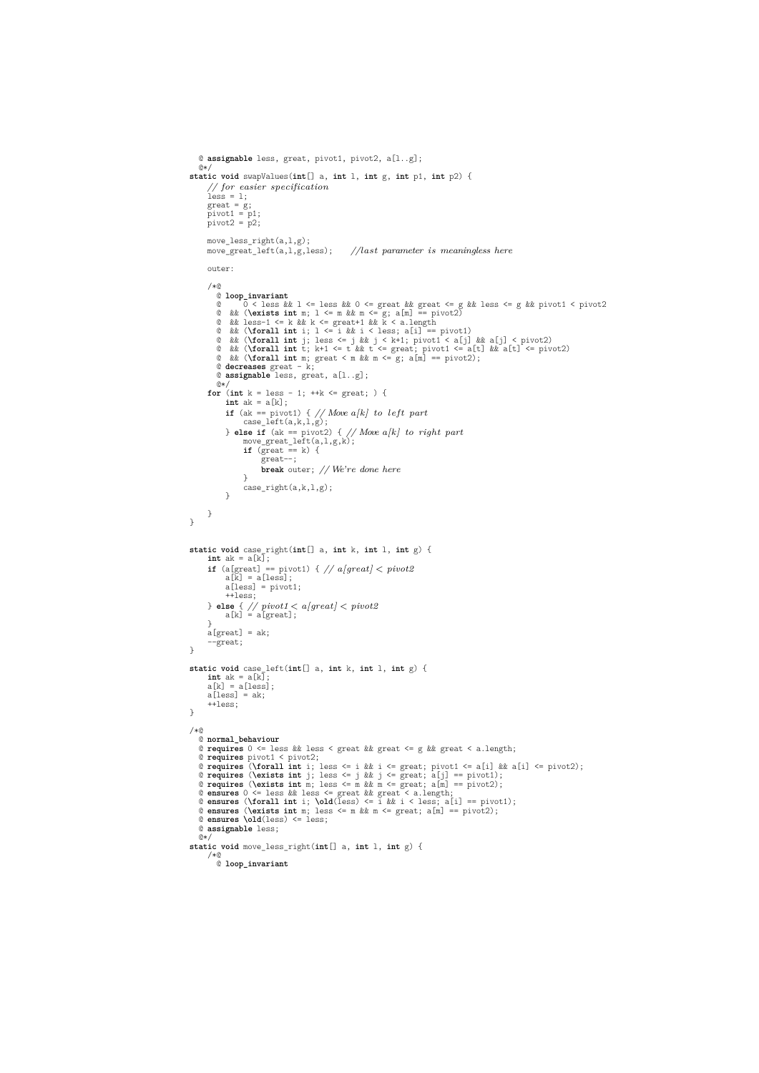```
@ assignable less, great, pivot1, pivot2, a[l..g];
   \bar{a}static void swapValues(int[] a, int l, int g, int p1, int p2) {
       // for easier specification
less = l;
great = g;
       pivot1 = p1;
pivot2 = p2;
     move_less_right(a,l,g);
     move_great_left(a,l,g,less); //last parameter is meaningless here
      outer:
      /*@
         @ loop_invariant
          © 0 < less & & 1 <= less & & 0 <= great & & great <= g & less <= g & pivot1 < pivot2<br>
© & & (\exists int m; 1 <= m & m < -g; a[m] == pivot2<br>
© & & less-1 <= k & k <= great+1 & k < a.length<br>
© & less-1 <= k & less d <= gre
          @ decreases great - k;
@ assignable less, great, a[l..g];
@*/
       for (int k = less - 1; ++k <= great; ) {
int ak = a[k];
             if (ak == pivot1) { // Move a[k] to left part case_left(a,k,1,g);
             } else if (ak == pivot2) { // Move a[k] to right part move_great_left(a,l,g,k);<br>
if (great == k) {<br>
great ==;
                        break outer; // We're done here
                   }
case_right(a,k,l,g);
            }
     }
}
 static void case_right(\text{int}[] a, \text{int} k, \text{int} 1, \text{int} g) {<br>
int ak = a[k];
       if (a[great] == pivot1) { // a[great] < pivot2<br>
a[k] = a[less];<br>
a[less] = pivot1;
            ++less;
       } else { // pivot1 < a[great] < pivot2
a[k] = a[great];
      }
      a[great] = ak;
      --great;
}
static void case_left(int[] a, int k, int l, int g) {
       int ak = a[k];
a[k] = a[less];
      a[less] = ak;++less;}
/*@
    @ normal_behaviour
@ requires 0 <= less && less < great && great <= g && great < a.length;
    @ requires pivot1 < pivot2;<br>
@ requires (\forall int i; less <= i && i <= great; pivot1 <= a[i] && a[i] <= pivot2);<br>
@ requires (\forall int i; less <= j && j <= great; a[j] == pivot1);<br>
@ requires (\exists int m; less <= 
   @ assignable less;
   (0*)static void move_less_right(int[] a, int l, int g) {
     /*@
        @ loop_invariant
```